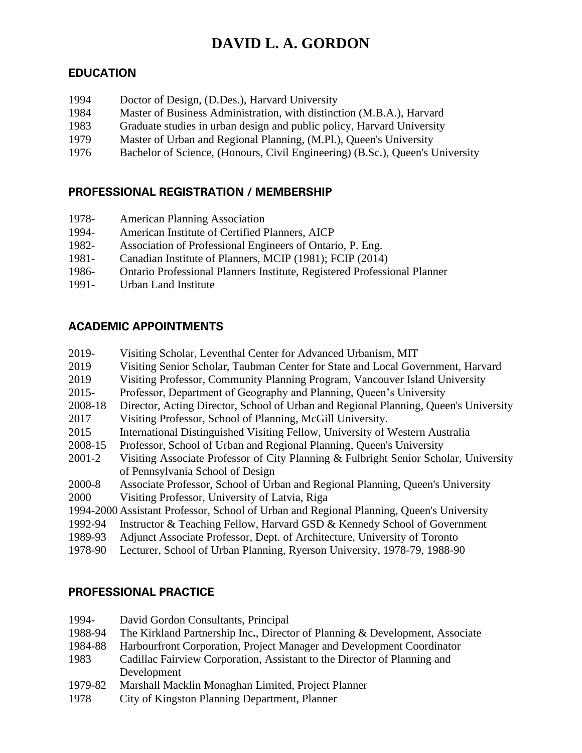# **DAVID L. A. GORDON**

## **EDUCATION**

| 1994 | Doctor of Design, (D.Des.), Harvard University                                |
|------|-------------------------------------------------------------------------------|
| 1984 | Master of Business Administration, with distinction (M.B.A.), Harvard         |
| 1983 | Graduate studies in urban design and public policy, Harvard University        |
| 1979 | Master of Urban and Regional Planning, (M.Pl.), Queen's University            |
| 1976 | Bachelor of Science, (Honours, Civil Engineering) (B.Sc.), Queen's University |

## **PROFESSIONAL REGISTRATION / MEMBERSHIP**

- 1978- American Planning Association
- 1994- American Institute of Certified Planners, AICP
- 1982- Association of Professional Engineers of Ontario, P. Eng.
- 1981- Canadian Institute of Planners, MCIP (1981); FCIP (2014)
- 1986- Ontario Professional Planners Institute, Registered Professional Planner
- 1991- Urban Land Institute

## **ACADEMIC APPOINTMENTS**

- 2019- Visiting Scholar, Leventhal Center for Advanced Urbanism, MIT
- 2019 Visiting Senior Scholar, Taubman Center for State and Local Government, Harvard
- 2019 Visiting Professor, Community Planning Program, Vancouver Island University
- 2015- Professor, Department of Geography and Planning, Queen's University
- 2008-18 Director, Acting Director, School of Urban and Regional Planning, Queen's University
- 2017 Visiting Professor, School of Planning, McGill University.
- 2015 International Distinguished Visiting Fellow, University of Western Australia
- 2008-15 Professor, School of Urban and Regional Planning, Queen's University
- 2001-2 Visiting Associate Professor of City Planning & Fulbright Senior Scholar, University of Pennsylvania School of Design
- 2000-8 Associate Professor, School of Urban and Regional Planning, Queen's University
- 2000 Visiting Professor, University of Latvia, Riga
- 1994-2000 Assistant Professor, School of Urban and Regional Planning, Queen's University
- 1992-94 Instructor & Teaching Fellow, Harvard GSD & Kennedy School of Government
- 1989-93 Adjunct Associate Professor, Dept. of Architecture, University of Toronto
- 1978-90 Lecturer, School of Urban Planning, Ryerson University, 1978-79, 1988-90

## **PROFESSIONAL PRACTICE**

- 1994- David Gordon Consultants, Principal
- 1988-94 The Kirkland Partnership Inc**.**, Director of Planning & Development, Associate
- 1984-88 Harbourfront Corporation, Project Manager and Development Coordinator
- 1983 Cadillac Fairview Corporation, Assistant to the Director of Planning and Development
- 1979-82 Marshall Macklin Monaghan Limited, Project Planner
- 1978 City of Kingston Planning Department, Planner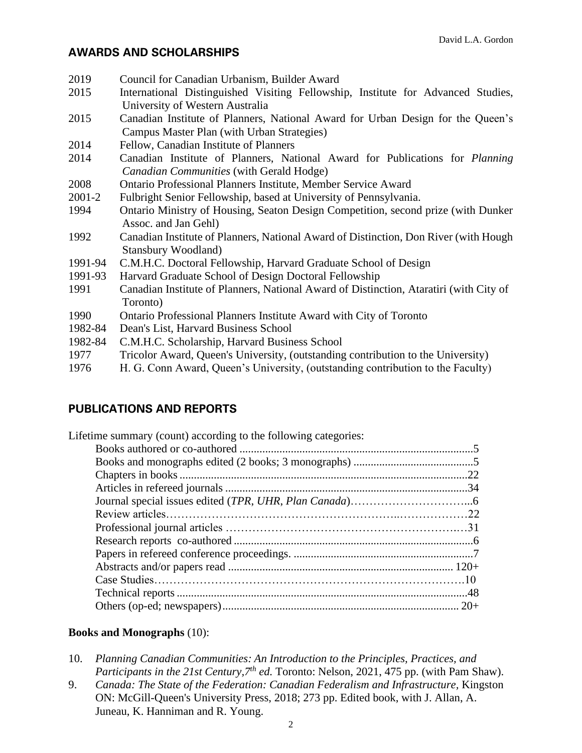#### **AWARDS AND SCHOLARSHIPS**

| 2019    | Council for Canadian Urbanism, Builder Award                                           |
|---------|----------------------------------------------------------------------------------------|
| 2015    | International Distinguished Visiting Fellowship, Institute for Advanced Studies,       |
|         | University of Western Australia                                                        |
| 2015    | Canadian Institute of Planners, National Award for Urban Design for the Queen's        |
|         | Campus Master Plan (with Urban Strategies)                                             |
| 2014    | Fellow, Canadian Institute of Planners                                                 |
| 2014    | Canadian Institute of Planners, National Award for Publications for <i>Planning</i>    |
|         | Canadian Communities (with Gerald Hodge)                                               |
| 2008    | Ontario Professional Planners Institute, Member Service Award                          |
| 2001-2  | Fulbright Senior Fellowship, based at University of Pennsylvania.                      |
| 1994    | Ontario Ministry of Housing, Seaton Design Competition, second prize (with Dunker      |
|         | Assoc. and Jan Gehl)                                                                   |
| 1992    | Canadian Institute of Planners, National Award of Distinction, Don River (with Hough   |
|         | <b>Stansbury Woodland)</b>                                                             |
| 1991-94 | C.M.H.C. Doctoral Fellowship, Harvard Graduate School of Design                        |
| 1991-93 | Harvard Graduate School of Design Doctoral Fellowship                                  |
| 1991    | Canadian Institute of Planners, National Award of Distinction, Ataratiri (with City of |
|         | Toronto)                                                                               |
| 1990    | Ontario Professional Planners Institute Award with City of Toronto                     |
| 1982-84 | Dean's List, Harvard Business School                                                   |
| 1982-84 | C.M.H.C. Scholarship, Harvard Business School                                          |
| 1977    | Tricolor Award, Queen's University, (outstanding contribution to the University)       |
|         |                                                                                        |

# 1976 H. G. Conn Award, Queen's University, (outstanding contribution to the Faculty)

## **PUBLICATIONS AND REPORTS**

| Lifetime summary (count) according to the following categories: |  |
|-----------------------------------------------------------------|--|
|                                                                 |  |
|                                                                 |  |
|                                                                 |  |
|                                                                 |  |
|                                                                 |  |
|                                                                 |  |
|                                                                 |  |
|                                                                 |  |
|                                                                 |  |
|                                                                 |  |
|                                                                 |  |
|                                                                 |  |
|                                                                 |  |
|                                                                 |  |

#### **Books and Monographs** (10):

- 10. *Planning Canadian Communities: An Introduction to the Principles, Practices, and Participants in the 21st Century,7th ed.* Toronto: Nelson, 2021, 475 pp. (with Pam Shaw).
- 9. *Canada: The State of the Federation: Canadian Federalism and Infrastructure, Kingston* ON: McGill-Queen's University Press, 2018; 273 pp. Edited book, with J. Allan, A. Juneau, K. Hanniman and R. Young.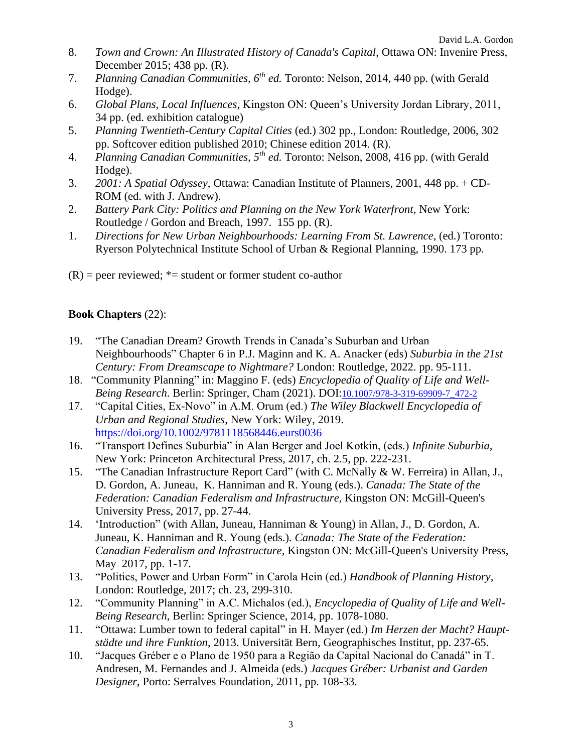- 8. *Town and Crown: An Illustrated History of Canada's Capital*, Ottawa ON: Invenire Press, December 2015; 438 pp. (R).
- 7. *Planning Canadian Communities, 6th ed.* Toronto: Nelson, 2014, 440 pp. (with Gerald Hodge).
- 6. *Global Plans, Local Influences*, Kingston ON: Queen's University Jordan Library, 2011, 34 pp. (ed. exhibition catalogue)
- 5. *Planning Twentieth-Century Capital Cities* (ed.) 302 pp., London: Routledge, 2006, 302 pp. Softcover edition published 2010; Chinese edition 2014. (R).
- 4. *Planning Canadian Communities, 5th ed.* Toronto: Nelson, 2008, 416 pp. (with Gerald Hodge).
- 3. *2001: A Spatial Odyssey*, Ottawa: Canadian Institute of Planners, 2001, 448 pp. + CD-ROM (ed. with J. Andrew).
- 2. *Battery Park City: Politics and Planning on the New York Waterfront*, New York: Routledge / Gordon and Breach, 1997. 155 pp. (R).
- 1. *Directions for New Urban Neighbourhoods: Learning From St. Lawrence*, (ed.) Toronto: Ryerson Polytechnical Institute School of Urban & Regional Planning, 1990. 173 pp.
- $(R)$  = peer reviewed;  $*$  = student or former student co-author

#### **Book Chapters** (22):

- 19. "The Canadian Dream? Growth Trends in Canada's Suburban and Urban Neighbourhoods" Chapter 6 in P.J. Maginn and K. A. Anacker (eds) *Suburbia in the 21st Century: From Dreamscape to Nightmare?* London: Routledge, 2022. pp. 95-111.
- 18. "Community Planning" in: Maggino F. (eds) *Encyclopedia of Quality of Life and Well-Being Research*. Berlin: Springer, Cham (2021). DOI:[10.1007/978-3-319-69909-7\\_472-2](https://doi.org/10.1007/978-3-319-69909-7_472-2)
- 17. "Capital Cities, Ex-Novo" in A.M. Orum (ed.) *The Wiley Blackwell Encyclopedia of Urban and Regional Studies*, New York: Wiley, 2019. <https://doi.org/10.1002/9781118568446.eurs0036>
- 16. "Transport Defines Suburbia" in Alan Berger and Joel Kotkin, (eds.) *Infinite Suburbia,* New York: Princeton Architectural Press, 2017, ch. 2.5, pp. 222-231.
- 15. "The Canadian Infrastructure Report Card" (with C. McNally & W. Ferreira) in Allan, J., D. Gordon, A. Juneau, K. Hanniman and R. Young (eds.). *Canada: The State of the Federation: Canadian Federalism and Infrastructure,* Kingston ON: McGill-Queen's University Press, 2017, pp. 27-44.
- 14. 'Introduction" (with Allan, Juneau, Hanniman & Young) in Allan, J., D. Gordon, A. Juneau, K. Hanniman and R. Young (eds.). *Canada: The State of the Federation: Canadian Federalism and Infrastructure,* Kingston ON: McGill-Queen's University Press, May 2017, pp. 1-17.
- 13. "Politics, Power and Urban Form" in Carola Hein (ed.) *Handbook of Planning History,* London: Routledge, 2017; ch. 23, 299-310.
- 12. "Community Planning" in A.C. Michalos (ed.), *Encyclopedia of Quality of Life and Well-Being Research*, Berlin: Springer Science, 2014, pp. 1078-1080.
- 11. "Ottawa: Lumber town to federal capital" in H. Mayer (ed.) *Im Herzen der Macht? Hauptstädte und ihre Funktion*, 2013. Universität Bern, Geographisches Institut, pp. 237-65.
- 10. "Jacques Gréber e o Plano de 1950 para a Região da Capital Nacional do Canadá" in T. Andresen, M. Fernandes and J. Almeida (eds.) *Jacques Gréber: Urbanist and Garden Designer*, Porto: Serralves Foundation, 2011, pp. 108-33.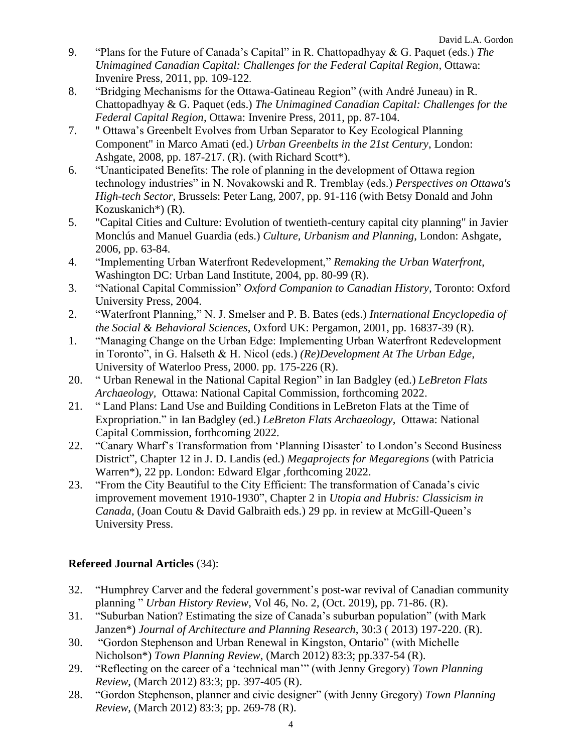- 9. "Plans for the Future of Canada's Capital" in R. Chattopadhyay & G. Paquet (eds.) *The Unimagined Canadian Capital: Challenges for the Federal Capital Region*, Ottawa: Invenire Press, 2011, pp. 109-122.
- 8. "Bridging Mechanisms for the Ottawa-Gatineau Region" (with André Juneau) in R. Chattopadhyay & G. Paquet (eds.) *The Unimagined Canadian Capital: Challenges for the Federal Capital Region*, Ottawa: Invenire Press, 2011, pp. 87-104.
- 7. " Ottawa's Greenbelt Evolves from Urban Separator to Key Ecological Planning Component" in Marco Amati (ed.) *Urban Greenbelts in the 21st Century*, London: Ashgate, 2008, pp. 187-217. (R). (with Richard Scott\*).
- 6. "Unanticipated Benefits: The role of planning in the development of Ottawa region technology industries" in N. Novakowski and R. Tremblay (eds.) *Perspectives on Ottawa's High-tech Sector*, Brussels: Peter Lang, 2007, pp. 91-116 (with Betsy Donald and John Kozuskanich\*) (R).
- 5. "Capital Cities and Culture: Evolution of twentieth-century capital city planning" in Javier Monclús and Manuel Guardia (eds.) *Culture, Urbanism and Planning*, London: Ashgate, 2006, pp. 63-84.
- 4. "Implementing Urban Waterfront Redevelopment," *Remaking the Urban Waterfront*, Washington DC: Urban Land Institute, 2004, pp. 80-99 (R).
- 3. "National Capital Commission" *Oxford Companion to Canadian History*, Toronto: Oxford University Press, 2004.
- 2. "Waterfront Planning," N. J. Smelser and P. B. Bates (eds.) *International Encyclopedia of the Social & Behavioral Sciences*, Oxford UK: Pergamon, 2001, pp. 16837-39 (R).
- 1. "Managing Change on the Urban Edge: Implementing Urban Waterfront Redevelopment in Toronto", in G. Halseth & H. Nicol (eds.) *(Re)Development At The Urban Edge*, University of Waterloo Press, 2000. pp. 175-226 (R).
- 20. " Urban Renewal in the National Capital Region" in Ian Badgley (ed.) *LeBreton Flats Archaeology,* Ottawa: National Capital Commission, forthcoming 2022.
- 21. " Land Plans: Land Use and Building Conditions in LeBreton Flats at the Time of Expropriation." in Ian Badgley (ed.) *LeBreton Flats Archaeology,* Ottawa: National Capital Commission, forthcoming 2022.
- 22. "Canary Wharf's Transformation from 'Planning Disaster' to London's Second Business District", Chapter 12 in J. D. Landis (ed.) *Megaprojects for Megaregions* (with Patricia Warren\*), 22 pp. London: Edward Elgar ,forthcoming 2022.
- 23. "From the City Beautiful to the City Efficient: The transformation of Canada's civic improvement movement 1910-1930", Chapter 2 in *Utopia and Hubris: Classicism in Canada*, (Joan Coutu & David Galbraith eds.) 29 pp. in review at McGill-Queen's University Press.

#### **Refereed Journal Articles** (34):

- 32. "Humphrey Carver and the federal government's post-war revival of Canadian community planning " *Urban History Review*, Vol 46, No. 2, (Oct. 2019), pp. 71-86. (R).
- 31. "Suburban Nation? Estimating the size of Canada's suburban population" (with Mark Janzen\*) *Journal of Architecture and Planning Research*, 30:3 ( 2013) 197-220. (R).
- 30. "Gordon Stephenson and Urban Renewal in Kingston, Ontario" (with Michelle Nicholson\*) *Town Planning Review*, (March 2012) 83:3; pp.337-54 (R).
- 29. "Reflecting on the career of a 'technical man'" (with Jenny Gregory) *Town Planning Review*, (March 2012) 83:3; pp. 397-405 (R).
- 28. "Gordon Stephenson, planner and civic designer" (with Jenny Gregory) *Town Planning Review*, (March 2012) 83:3; pp. 269-78 (R).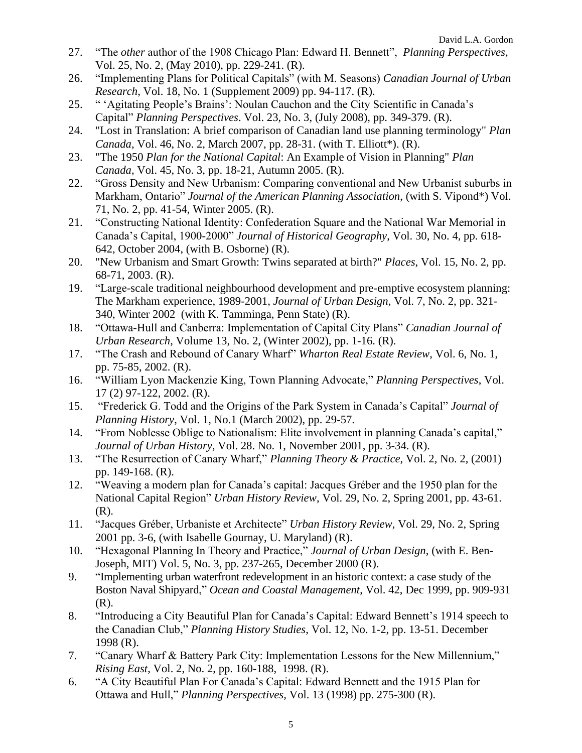- 27. "The *other* author of the 1908 Chicago Plan: Edward H. Bennett", *Planning Perspectives*, Vol. 25, No. 2, (May 2010), pp. 229-241. (R).
- 26. "Implementing Plans for Political Capitals" (with M. Seasons) *Canadian Journal of Urban Research*, Vol. 18, No. 1 (Supplement 2009) pp. 94-117. (R).
- 25. " 'Agitating People's Brains': Noulan Cauchon and the City Scientific in Canada's Capital" *Planning Perspectives*. Vol. 23, No. 3, (July 2008), pp. 349-379. (R).
- 24. "Lost in Translation: A brief comparison of Canadian land use planning terminology" *Plan Canada*, Vol. 46, No. 2, March 2007, pp. 28-31. (with T. Elliott\*). (R).
- 23. "The 1950 *Plan for the National Capital*: An Example of Vision in Planning" *Plan Canada*, Vol. 45, No. 3, pp. 18-21, Autumn 2005. (R).
- 22. "Gross Density and New Urbanism: Comparing conventional and New Urbanist suburbs in Markham, Ontario" *Journal of the American Planning Association*, (with S. Vipond\*) Vol. 71, No. 2, pp. 41-54, Winter 2005. (R).
- 21. "Constructing National Identity: Confederation Square and the National War Memorial in Canada's Capital, 1900-2000" *Journal of Historical Geography*, Vol. 30, No. 4, pp. 618- 642, October 2004, (with B. Osborne) (R).
- 20. "New Urbanism and Smart Growth: Twins separated at birth?" *Places*, Vol. 15, No. 2, pp. 68-71, 2003. (R).
- 19. "Large-scale traditional neighbourhood development and pre-emptive ecosystem planning: The Markham experience, 1989-2001, *Journal of Urban Design*, Vol. 7, No. 2, pp. 321- 340, Winter 2002 (with K. Tamminga, Penn State) (R).
- 18. "Ottawa-Hull and Canberra: Implementation of Capital City Plans" *Canadian Journal of Urban Research*, Volume 13, No. 2, (Winter 2002), pp. 1-16. (R).
- 17. "The Crash and Rebound of Canary Wharf" *Wharton Real Estate Review*, Vol. 6, No. 1, pp. 75-85, 2002. (R).
- 16. "William Lyon Mackenzie King, Town Planning Advocate," *Planning Perspectives*, Vol. 17 (2) 97-122, 2002. (R).
- 15. "Frederick G. Todd and the Origins of the Park System in Canada's Capital" *Journal of Planning History*, Vol. 1, No.1 (March 2002), pp. 29-57.
- 14. "From Noblesse Oblige to Nationalism: Elite involvement in planning Canada's capital," *Journal of Urban History*, Vol. 28. No. 1, November 2001, pp. 3-34. (R).
- 13. "The Resurrection of Canary Wharf," *Planning Theory & Practice*, Vol. 2, No. 2, (2001) pp. 149-168. (R).
- 12. "Weaving a modern plan for Canada's capital: Jacques Gréber and the 1950 plan for the National Capital Region" *Urban History Review*, Vol. 29, No. 2, Spring 2001, pp. 43-61. (R).
- 11. "Jacques Gréber, Urbaniste et Architecte" *Urban History Review*, Vol. 29, No. 2, Spring 2001 pp. 3-6, (with Isabelle Gournay, U. Maryland) (R).
- 10. "Hexagonal Planning In Theory and Practice," *Journal of Urban Design*, (with E. Ben-Joseph, MIT) Vol. 5, No. 3, pp. 237-265, December 2000 (R).
- 9. "Implementing urban waterfront redevelopment in an historic context: a case study of the Boston Naval Shipyard," *Ocean and Coastal Management*, Vol. 42, Dec 1999, pp. 909-931 (R).
- 8. "Introducing a City Beautiful Plan for Canada's Capital: Edward Bennett's 1914 speech to the Canadian Club," *Planning History Studies*, Vol. 12, No. 1-2, pp. 13-51. December 1998 (R).
- 7. "Canary Wharf & Battery Park City: Implementation Lessons for the New Millennium," *Rising East*, Vol. 2, No. 2, pp. 160-188, 1998. (R).
- 6. "A City Beautiful Plan For Canada's Capital: Edward Bennett and the 1915 Plan for Ottawa and Hull," *Planning Perspectives*, Vol. 13 (1998) pp. 275-300 (R).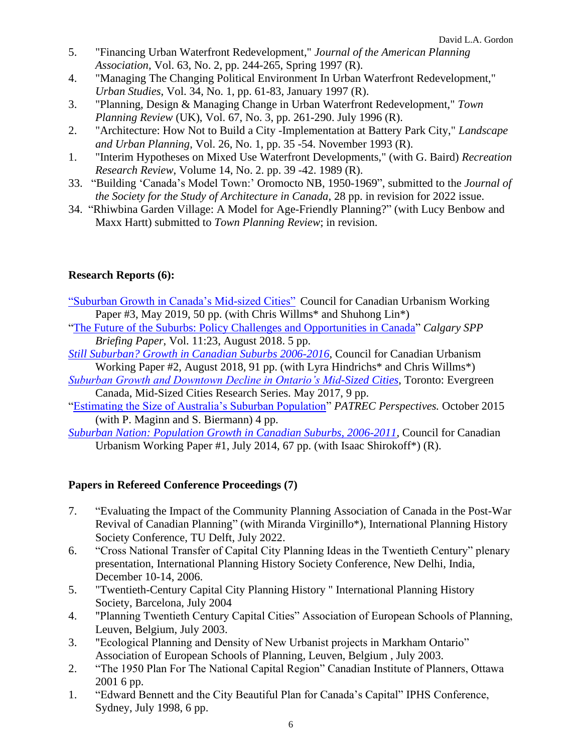- 5. "Financing Urban Waterfront Redevelopment," *Journal of the American Planning Association*, Vol. 63, No. 2, pp. 244-265, Spring 1997 (R).
- 4. "Managing The Changing Political Environment In Urban Waterfront Redevelopment," *Urban Studies*, Vol. 34, No. 1, pp. 61-83, January 1997 (R).
- 3. "Planning, Design & Managing Change in Urban Waterfront Redevelopment," *Town Planning Review* (UK), Vol. 67, No. 3, pp. 261-290. July 1996 (R).
- 2. "Architecture: How Not to Build a City -Implementation at Battery Park City," *Landscape and Urban Planning*, Vol. 26, No. 1, pp. 35 -54. November 1993 (R).
- 1. "Interim Hypotheses on Mixed Use Waterfront Developments," (with G. Baird) *Recreation Research Review*, Volume 14, No. 2. pp. 39 -42. 1989 (R).
- 33. "Building 'Canada's Model Town:' Oromocto NB, 1950-1969", submitted to the *Journal of the Society for the Study of Architecture in Canada*, 28 pp. in revision for 2022 issue.
- 34. "Rhiwbina Garden Village: A Model for Age-Friendly Planning?" (with Lucy Benbow and Maxx Hartt) submitted to *Town Planning Review*; in revision.

#### **Research Reports (6):**

- ["Suburban Growth in Canada's Mid-sized Cities"](http://www.canadianurbanism.ca/canu-working-paper-3-growth-in-canadian-midsized-cities/) Council for Canadian Urbanism Working Paper #3, May 2019, 50 pp. (with Chris Willms<sup>\*</sup> and Shuhong Lin<sup>\*</sup>)
- ["The Future of the Suburbs: Policy Challenges and Opportunities in Canada"](https://www.policyschool.ca/wp-content/uploads/2018/08/Canadas-Suburbs.pdf) *Calgary SPP Briefing Paper*, Vol. 11:23, August 2018. 5 pp.
- *Still Suburban? [Growth in Canadian Suburbs 2006-2016](http://www.canadiansuburbs.ca/files/Still_Suburban_Monograph_2016.pdf)*, Council for Canadian Urbanism Working Paper #2, August 2018, 91 pp. (with Lyra Hindrichs\* and Chris Willms\*)
- *[Suburban Growth and Downtown Decline in Ontario's Mid-Sized Cities](https://www.evergreen.ca/downloads/pdfs/2017/06_MSC_RC_Gordon.pdf)*, Toronto: Evergreen Canada, Mid-Sized Cities Research Series. May 2017, 9 pp.
- ["Estimating the Size of Australia's Suburban Population"](https://resources.patrec.org/publications/perspectives/SuburbanPopulation2015.pdf) *PATREC Perspectives.* October 2015 (with P. Maginn and S. Biermann) 4 pp.
- *[Suburban Nation: Population Growth in Canadian Suburbs, 2006-2011](http://www.canadianurbanism.ca/wp-content/uploads/2014/07/CanU%20WP1%20Suburban%20Nation%202006-2011%20Text%20and%20Atlas%20comp.pdf)*, Council for Canadian Urbanism Working Paper #1, July 2014, 67 pp. (with Isaac Shirokoff\*) (R).

#### **Papers in Refereed Conference Proceedings (7)**

- 7. "Evaluating the Impact of the Community Planning Association of Canada in the Post-War Revival of Canadian Planning" (with Miranda Virginillo\*), International Planning History Society Conference, TU Delft, July 2022.
- 6. "Cross National Transfer of Capital City Planning Ideas in the Twentieth Century" plenary presentation, International Planning History Society Conference, New Delhi, India, December 10-14, 2006.
- 5. "Twentieth-Century Capital City Planning History " International Planning History Society, Barcelona, July 2004
- 4. "Planning Twentieth Century Capital Cities" Association of European Schools of Planning, Leuven, Belgium, July 2003.
- 3. "Ecological Planning and Density of New Urbanist projects in Markham Ontario" Association of European Schools of Planning, Leuven, Belgium , July 2003.
- 2. "The 1950 Plan For The National Capital Region" Canadian Institute of Planners, Ottawa 2001 6 pp.
- 1. "Edward Bennett and the City Beautiful Plan for Canada's Capital" IPHS Conference, Sydney, July 1998, 6 pp.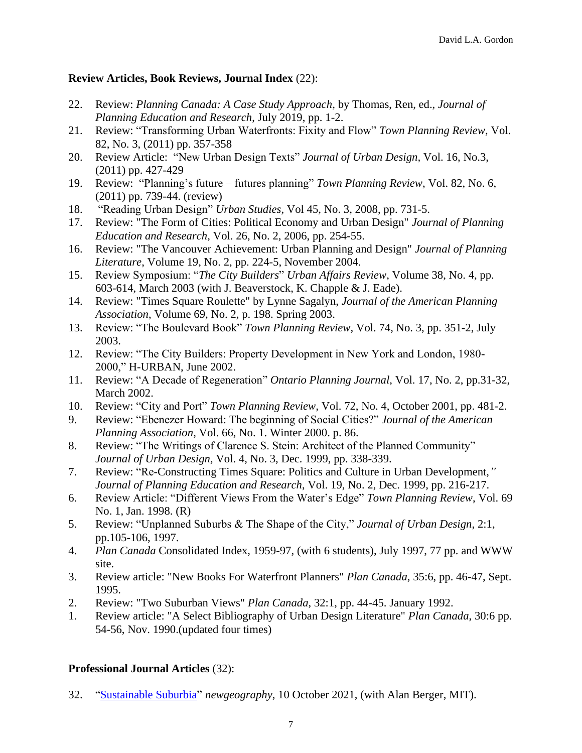#### **Review Articles, Book Reviews, Journal Index** (22):

- 22. Review: *Planning Canada: A Case Study Approach*, by Thomas, Ren, ed., *Journal of Planning Education and Research*, July 2019, pp. 1-2.
- 21. Review: "Transforming Urban Waterfronts: Fixity and Flow" *Town Planning Review*, Vol. 82, No. 3, (2011) pp. 357-358
- 20. Review Article: "New Urban Design Texts" *Journal of Urban Design,* Vol. 16, No.3, (2011) pp. 427-429
- 19. Review: "Planning's future futures planning" *Town Planning Review*, Vol. 82, No. 6, (2011) pp. 739-44. (review)
- 18. "Reading Urban Design" *Urban Studies*, Vol 45, No. 3, 2008, pp. 731-5.
- 17. Review: "The Form of Cities: Political Economy and Urban Design" *Journal of Planning Education and Research*, Vol. 26, No. 2, 2006, pp. 254-55.
- 16. Review: "The Vancouver Achievement: Urban Planning and Design" *Journal of Planning Literature*, Volume 19, No. 2, pp. 224-5, November 2004.
- 15. Review Symposium: "*The City Builders*" *Urban Affairs Review*, Volume 38, No. 4, pp. 603-614, March 2003 (with J. Beaverstock, K. Chapple & J. Eade).
- 14. Review: "Times Square Roulette" by Lynne Sagalyn, *Journal of the American Planning Association*, Volume 69, No. 2, p. 198. Spring 2003.
- 13. Review: "The Boulevard Book" *Town Planning Review,* Vol. 74, No. 3, pp. 351-2, July 2003.
- 12. Review: "The City Builders: Property Development in New York and London, 1980- 2000," H-URBAN, June 2002.
- 11. Review: "A Decade of Regeneration" *Ontario Planning Journal*, Vol. 17, No. 2, pp.31-32, March 2002.
- 10. Review: "City and Port" *Town Planning Review,* Vol. 72, No. 4, October 2001, pp. 481-2.
- 9. Review: "Ebenezer Howard: The beginning of Social Cities?" *Journal of the American Planning Association*, Vol. 66, No. 1. Winter 2000. p. 86.
- 8. Review: "The Writings of Clarence S. Stein: Architect of the Planned Community" *Journal of Urban Design,* Vol. 4, No. 3, Dec. 1999, pp. 338-339.
- 7. Review: "Re-Constructing Times Square: Politics and Culture in Urban Development,*" Journal of Planning Education and Research*, Vol. 19, No. 2, Dec. 1999, pp. 216-217.
- 6. Review Article: "Different Views From the Water's Edge" *Town Planning Review*, Vol. 69 No. 1, Jan. 1998. (R)
- 5. Review: "Unplanned Suburbs & The Shape of the City," *Journal of Urban Design*, 2:1, pp.105-106, 1997.
- 4. *Plan Canada* Consolidated Index, 1959-97, (with 6 students), July 1997, 77 pp. and WWW site.
- 3. Review article: "New Books For Waterfront Planners" *Plan Canada*, 35:6, pp. 46-47, Sept. 1995.
- 2. Review: "Two Suburban Views" *Plan Canada*, 32:1, pp. 44-45. January 1992.
- 1. Review article: "A Select Bibliography of Urban Design Literature" *Plan Canada*, 30:6 pp. 54-56, Nov. 1990.(updated four times)

#### **Professional Journal Articles** (32):

32. ["Sustainable Suburbia"](https://queensuca-my.sharepoint.com/personal/gordond_queensu_ca/Documents/Documents/JOBS&CV/CV/w.newgeography.com/content/007211-sustainable-suburbia) *newgeography*, 10 October 2021, (with Alan Berger, MIT).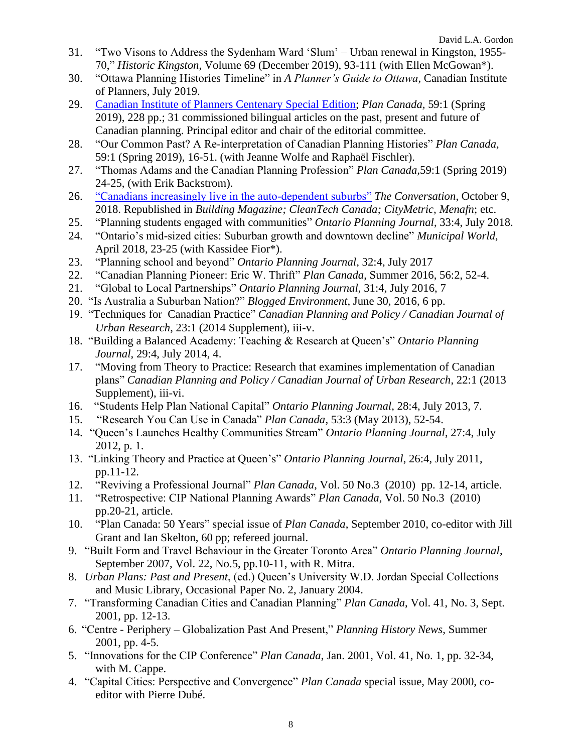- 31. "Two Visons to Address the Sydenham Ward 'Slum' Urban renewal in Kingston, 1955- 70," *Historic Kingston*, Volume 69 (December 2019), 93-111 (with Ellen McGowan\*).
- 30. "Ottawa Planning Histories Timeline" in *A Planner's Guide to Ottawa*, Canadian Institute of Planners, July 2019.
- 29. [Canadian Institute of Planners Centenary Special Edition;](https://www.kelmanonline.com/httpdocs/files/CIP/plancanadaspring2019/index.html) *Plan Canada,* 59:1 (Spring 2019), 228 pp.; 31 commissioned bilingual articles on the past, present and future of Canadian planning. Principal editor and chair of the editorial committee.
- 28. "Our Common Past? A Re-interpretation of Canadian Planning Histories" *Plan Canada,* 59:1 (Spring 2019), 16-51. (with Jeanne Wolfe and Raphaël Fischler).
- 27. "Thomas Adams and the Canadian Planning Profession" *Plan Canada,*59:1 (Spring 2019) 24-25, (with Erik Backstrom).
- 26. ["Canadians increasingly live in the auto-dependent suburbs"](http://theconversation.com/canadians-increasingly-live-in-the-auto-dependent-suburbs-104304) *The Conversation*, October 9, 2018. Republished in *Building Magazine; CleanTech Canada; CityMetric, Menafn*; etc.
- 25. "Planning students engaged with communities" *Ontario Planning Journal*, 33:4, July 2018.
- 24. "Ontario's mid-sized cities: Suburban growth and downtown decline" *Municipal World*, April 2018, 23-25 (with Kassidee Fior\*).
- 23. "Planning school and beyond" *Ontario Planning Journal*, 32:4, July 2017
- 22. "Canadian Planning Pioneer: Eric W. Thrift" *Plan Canada*, Summer 2016, 56:2, 52-4.
- 21. "Global to Local Partnerships" *Ontario Planning Journal*, 31:4, July 2016, 7
- 20. "Is Australia a Suburban Nation?" *Blogged Environment*, June 30, 2016, 6 pp.
- 19. "Techniques for Canadian Practice" *Canadian Planning and Policy / Canadian Journal of Urban Research*, 23:1 (2014 Supplement), iii-v.
- 18. "Building a Balanced Academy: Teaching & Research at Queen's" *Ontario Planning Journal*, 29:4, July 2014, 4.
- 17. "Moving from Theory to Practice: Research that examines implementation of Canadian plans" *Canadian Planning and Policy / Canadian Journal of Urban Research*, 22:1 (2013 Supplement), iii-vi.
- 16. "Students Help Plan National Capital" *Ontario Planning Journal*, 28:4, July 2013, 7.
- 15. "Research You Can Use in Canada" *Plan Canada*, 53:3 (May 2013), 52-54.
- 14. "Queen's Launches Healthy Communities Stream" *Ontario Planning Journal*, 27:4, July 2012, p. 1.
- 13. "Linking Theory and Practice at Queen's" *Ontario Planning Journal*, 26:4, July 2011, pp.11-12.
- 12. "Reviving a Professional Journal" *Plan Canada*, Vol. 50 No.3 (2010) pp. 12-14, article.
- 11. "Retrospective: CIP National Planning Awards" *Plan Canada*, Vol. 50 No.3 (2010) pp.20-21, article.
- 10. "Plan Canada: 50 Years" special issue of *Plan Canada*, September 2010, co-editor with Jill Grant and Ian Skelton, 60 pp; refereed journal.
- 9. "Built Form and Travel Behaviour in the Greater Toronto Area" *Ontario Planning Journal*, September 2007, Vol. 22, No.5, pp.10-11, with R. Mitra.
- 8. *Urban Plans: Past and Present*, (ed.) Queen's University W.D. Jordan Special Collections and Music Library, Occasional Paper No. 2, January 2004.
- 7. "Transforming Canadian Cities and Canadian Planning" *Plan Canada*, Vol. 41, No. 3, Sept. 2001, pp. 12-13.
- 6. "Centre Periphery Globalization Past And Present," *Planning History News*, Summer 2001, pp. 4-5.
- 5. "Innovations for the CIP Conference" *Plan Canada*, Jan. 2001, Vol. 41, No. 1, pp. 32-34, with M. Cappe.
- 4. "Capital Cities: Perspective and Convergence" *Plan Canada* special issue, May 2000, coeditor with Pierre Dubé.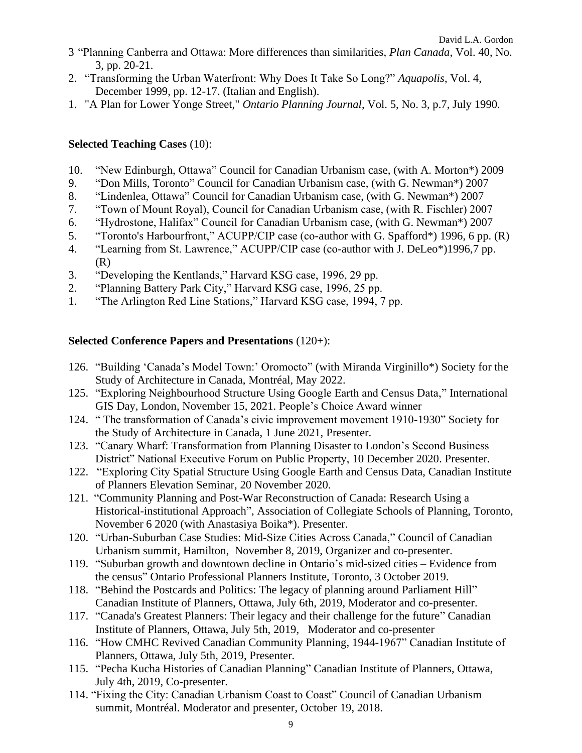- 3 "Planning Canberra and Ottawa: More differences than similarities, *Plan Canada*, Vol. 40, No. 3, pp. 20-21.
- 2. "Transforming the Urban Waterfront: Why Does It Take So Long?" *Aquapolis*, Vol. 4, December 1999, pp. 12-17. (Italian and English).
- 1. "A Plan for Lower Yonge Street," *Ontario Planning Journal*, Vol. 5, No. 3, p.7, July 1990.

#### **Selected Teaching Cases** (10):

- 10. "New Edinburgh, Ottawa" Council for Canadian Urbanism case, (with A. Morton\*) 2009
- 9. "Don Mills, Toronto" Council for Canadian Urbanism case, (with G. Newman\*) 2007
- 8. "Lindenlea, Ottawa" Council for Canadian Urbanism case, (with G. Newman\*) 2007
- 7. "Town of Mount Royal), Council for Canadian Urbanism case, (with R. Fischler) 2007
- 6. "Hydrostone, Halifax" Council for Canadian Urbanism case, (with G. Newman\*) 2007
- 5. "Toronto's Harbourfront," ACUPP/CIP case (co-author with G. Spafford\*) 1996, 6 pp. (R)
- 4. "Learning from St. Lawrence," ACUPP/CIP case (co-author with J. DeLeo\*)1996,7 pp. (R)
- 3. "Developing the Kentlands," Harvard KSG case, 1996, 29 pp.
- 2. "Planning Battery Park City," Harvard KSG case, 1996, 25 pp.
- 1. "The Arlington Red Line Stations," Harvard KSG case, 1994, 7 pp.

#### **Selected Conference Papers and Presentations** (120+):

- 126. "Building 'Canada's Model Town:' Oromocto" (with Miranda Virginillo\*) Society for the Study of Architecture in Canada, Montréal, May 2022.
- 125. "Exploring Neighbourhood Structure Using Google Earth and Census Data," International GIS Day, London, November 15, 2021. People's Choice Award winner
- 124. " The transformation of Canada's civic improvement movement 1910-1930" Society for the Study of Architecture in Canada, 1 June 2021, Presenter.
- 123. "Canary Wharf: Transformation from Planning Disaster to London's Second Business District" National Executive Forum on Public Property, 10 December 2020. Presenter.
- 122. "Exploring City Spatial Structure Using Google Earth and Census Data, Canadian Institute of Planners Elevation Seminar, 20 November 2020.
- 121. "Community Planning and Post-War Reconstruction of Canada: Research Using a Historical-institutional Approach", Association of Collegiate Schools of Planning, Toronto, November 6 2020 (with Anastasiya Boika\*). Presenter.
- 120. "Urban-Suburban Case Studies: Mid-Size Cities Across Canada," Council of Canadian Urbanism summit, Hamilton, November 8, 2019, Organizer and co-presenter.
- 119. "Suburban growth and downtown decline in Ontario's mid-sized cities Evidence from the census" Ontario Professional Planners Institute, Toronto, 3 October 2019.
- 118. "Behind the Postcards and Politics: The legacy of planning around Parliament Hill" Canadian Institute of Planners, Ottawa, July 6th, 2019, Moderator and co-presenter.
- 117. "Canada's Greatest Planners: Their legacy and their challenge for the future" Canadian Institute of Planners, Ottawa, July 5th, 2019, Moderator and co-presenter
- 116. "How CMHC Revived Canadian Community Planning, 1944-1967" Canadian Institute of Planners, Ottawa, July 5th, 2019, Presenter.
- 115. "Pecha Kucha Histories of Canadian Planning" Canadian Institute of Planners, Ottawa, July 4th, 2019, Co-presenter.
- 114. "Fixing the City: Canadian Urbanism Coast to Coast" Council of Canadian Urbanism summit, Montréal. Moderator and presenter, October 19, 2018.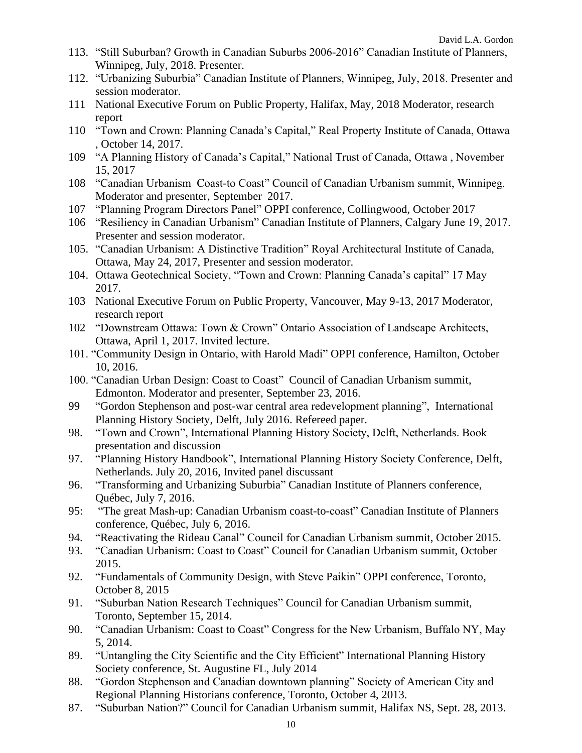- 113. "Still Suburban? Growth in Canadian Suburbs 2006-2016" Canadian Institute of Planners, Winnipeg, July, 2018. Presenter.
- 112. "Urbanizing Suburbia" Canadian Institute of Planners, Winnipeg, July, 2018. Presenter and session moderator.
- 111 National Executive Forum on Public Property, Halifax, May, 2018 Moderator, research report
- 110 "Town and Crown: Planning Canada's Capital," Real Property Institute of Canada, Ottawa , October 14, 2017.
- 109 "A Planning History of Canada's Capital," National Trust of Canada, Ottawa , November 15, 2017
- 108 "Canadian Urbanism Coast-to Coast" Council of Canadian Urbanism summit, Winnipeg. Moderator and presenter, September 2017.
- 107 "Planning Program Directors Panel" OPPI conference, Collingwood, October 2017
- 106 "Resiliency in Canadian Urbanism" Canadian Institute of Planners, Calgary June 19, 2017. Presenter and session moderator.
- 105. "Canadian Urbanism: A Distinctive Tradition" Royal Architectural Institute of Canada, Ottawa, May 24, 2017, Presenter and session moderator.
- 104. Ottawa Geotechnical Society, "Town and Crown: Planning Canada's capital" 17 May 2017.
- 103 National Executive Forum on Public Property, Vancouver, May 9-13, 2017 Moderator, research report
- 102 "Downstream Ottawa: Town & Crown" Ontario Association of Landscape Architects, Ottawa, April 1, 2017. Invited lecture.
- 101. "Community Design in Ontario, with Harold Madi" OPPI conference, Hamilton, October 10, 2016.
- 100. "Canadian Urban Design: Coast to Coast" Council of Canadian Urbanism summit, Edmonton. Moderator and presenter, September 23, 2016.
- 99 "Gordon Stephenson and post-war central area redevelopment planning", International Planning History Society, Delft, July 2016. Refereed paper.
- 98. "Town and Crown", International Planning History Society, Delft, Netherlands. Book presentation and discussion
- 97. "Planning History Handbook", International Planning History Society Conference, Delft, Netherlands. July 20, 2016, Invited panel discussant
- 96. "Transforming and Urbanizing Suburbia" Canadian Institute of Planners conference, Québec, July 7, 2016.
- 95: "The great Mash-up: Canadian Urbanism coast-to-coast" Canadian Institute of Planners conference, Québec, July 6, 2016.
- 94. "Reactivating the Rideau Canal" Council for Canadian Urbanism summit, October 2015.
- 93. "Canadian Urbanism: Coast to Coast" Council for Canadian Urbanism summit, October 2015.
- 92. "Fundamentals of Community Design, with Steve Paikin" OPPI conference, Toronto, October 8, 2015
- 91. "Suburban Nation Research Techniques" Council for Canadian Urbanism summit, Toronto, September 15, 2014.
- 90. "Canadian Urbanism: Coast to Coast" Congress for the New Urbanism, Buffalo NY, May 5, 2014.
- 89. "Untangling the City Scientific and the City Efficient" International Planning History Society conference, St. Augustine FL, July 2014
- 88. "Gordon Stephenson and Canadian downtown planning" Society of American City and Regional Planning Historians conference, Toronto, October 4, 2013.
- 87. "Suburban Nation?" Council for Canadian Urbanism summit, Halifax NS, Sept. 28, 2013.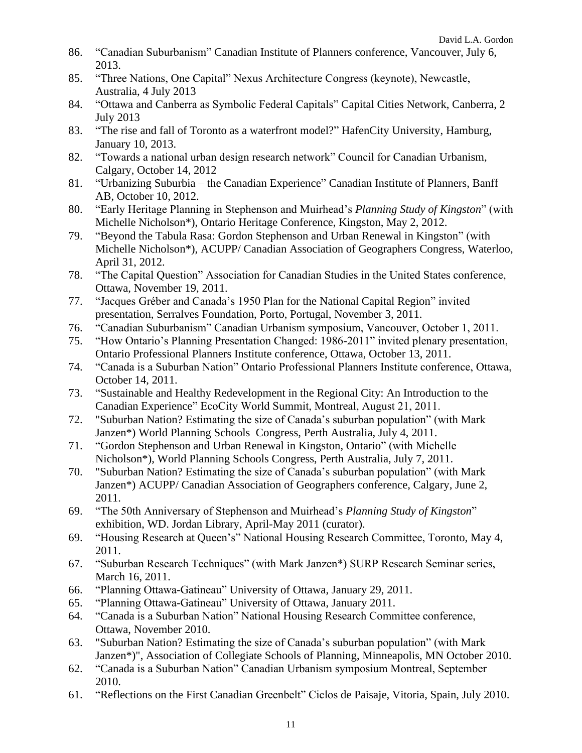- 86. "Canadian Suburbanism" Canadian Institute of Planners conference, Vancouver, July 6, 2013.
- 85. "Three Nations, One Capital" Nexus Architecture Congress (keynote), Newcastle, Australia, 4 July 2013
- 84. "Ottawa and Canberra as Symbolic Federal Capitals" Capital Cities Network, Canberra, 2 July 2013
- 83. "The rise and fall of Toronto as a waterfront model?" HafenCity University, Hamburg, January 10, 2013.
- 82. "Towards a national urban design research network" Council for Canadian Urbanism, Calgary, October 14, 2012
- 81. "Urbanizing Suburbia the Canadian Experience" Canadian Institute of Planners, Banff AB, October 10, 2012.
- 80. "Early Heritage Planning in Stephenson and Muirhead's *Planning Study of Kingston*" (with Michelle Nicholson\*), Ontario Heritage Conference, Kingston, May 2, 2012.
- 79. "Beyond the Tabula Rasa: Gordon Stephenson and Urban Renewal in Kingston" (with Michelle Nicholson\*), ACUPP/ Canadian Association of Geographers Congress, Waterloo, April 31, 2012.
- 78. "The Capital Question" Association for Canadian Studies in the United States conference, Ottawa, November 19, 2011.
- 77. "Jacques Gréber and Canada's 1950 Plan for the National Capital Region" invited presentation, Serralves Foundation, Porto, Portugal, November 3, 2011.
- 76. "Canadian Suburbanism" Canadian Urbanism symposium, Vancouver, October 1, 2011.
- 75. "How Ontario's Planning Presentation Changed: 1986-2011" invited plenary presentation, Ontario Professional Planners Institute conference, Ottawa, October 13, 2011.
- 74. "Canada is a Suburban Nation" Ontario Professional Planners Institute conference, Ottawa, October 14, 2011.
- 73. "Sustainable and Healthy Redevelopment in the Regional City: An Introduction to the Canadian Experience" EcoCity World Summit, Montreal, August 21, 2011.
- 72. "Suburban Nation? Estimating the size of Canada's suburban population" (with Mark Janzen\*) World Planning Schools Congress, Perth Australia, July 4, 2011.
- 71. "Gordon Stephenson and Urban Renewal in Kingston, Ontario" (with Michelle Nicholson\*), World Planning Schools Congress, Perth Australia, July 7, 2011.
- 70. "Suburban Nation? Estimating the size of Canada's suburban population" (with Mark Janzen\*) ACUPP/ Canadian Association of Geographers conference, Calgary, June 2, 2011.
- 69. "The 50th Anniversary of Stephenson and Muirhead's *Planning Study of Kingston*" exhibition, WD. Jordan Library, April-May 2011 (curator).
- 69. "Housing Research at Queen's" National Housing Research Committee, Toronto, May 4, 2011.
- 67. "Suburban Research Techniques" (with Mark Janzen\*) SURP Research Seminar series, March 16, 2011.
- 66. "Planning Ottawa-Gatineau" University of Ottawa, January 29, 2011.
- 65. "Planning Ottawa-Gatineau" University of Ottawa, January 2011.
- 64. "Canada is a Suburban Nation" National Housing Research Committee conference, Ottawa, November 2010.
- 63. "Suburban Nation? Estimating the size of Canada's suburban population" (with Mark Janzen\*)", Association of Collegiate Schools of Planning, Minneapolis, MN October 2010.
- 62. "Canada is a Suburban Nation" Canadian Urbanism symposium Montreal, September 2010.
- 61. "Reflections on the First Canadian Greenbelt" Ciclos de Paisaje, Vitoria, Spain, July 2010.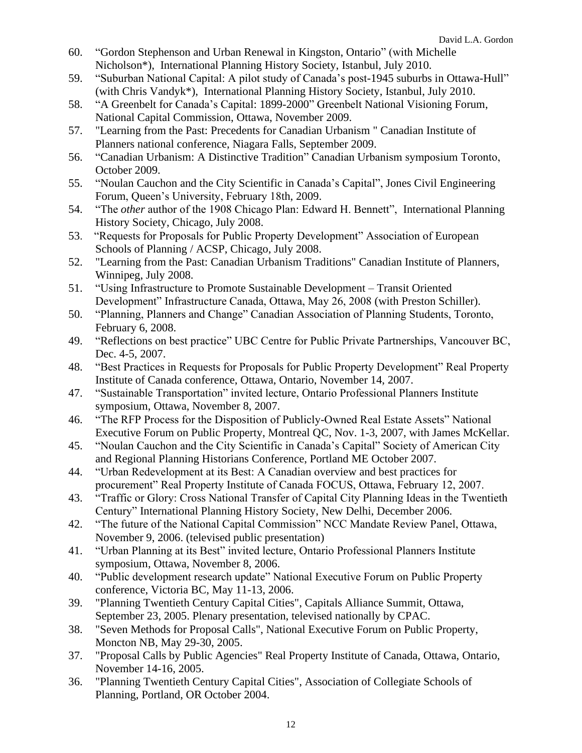- 60. "Gordon Stephenson and Urban Renewal in Kingston, Ontario" (with Michelle Nicholson\*), International Planning History Society, Istanbul, July 2010.
- 59. "Suburban National Capital: A pilot study of Canada's post-1945 suburbs in Ottawa-Hull" (with Chris Vandyk\*), International Planning History Society, Istanbul, July 2010.
- 58. "A Greenbelt for Canada's Capital: 1899-2000" Greenbelt National Visioning Forum, National Capital Commission, Ottawa, November 2009.
- 57. "Learning from the Past: Precedents for Canadian Urbanism " Canadian Institute of Planners national conference, Niagara Falls, September 2009.
- 56. "Canadian Urbanism: A Distinctive Tradition" Canadian Urbanism symposium Toronto, October 2009.
- 55. "Noulan Cauchon and the City Scientific in Canada's Capital", Jones Civil Engineering Forum, Queen's University, February 18th, 2009.
- 54. "The *other* author of the 1908 Chicago Plan: Edward H. Bennett", International Planning History Society, Chicago, July 2008.
- 53. "Requests for Proposals for Public Property Development" Association of European Schools of Planning / ACSP, Chicago, July 2008.
- 52. "Learning from the Past: Canadian Urbanism Traditions" Canadian Institute of Planners, Winnipeg, July 2008.
- 51. "Using Infrastructure to Promote Sustainable Development Transit Oriented Development" Infrastructure Canada, Ottawa, May 26, 2008 (with Preston Schiller).
- 50. "Planning, Planners and Change" Canadian Association of Planning Students, Toronto, February 6, 2008.
- 49. "Reflections on best practice" UBC Centre for Public Private Partnerships, Vancouver BC, Dec. 4-5, 2007.
- 48. "Best Practices in Requests for Proposals for Public Property Development" Real Property Institute of Canada conference, Ottawa, Ontario, November 14, 2007.
- 47. "Sustainable Transportation" invited lecture, Ontario Professional Planners Institute symposium, Ottawa, November 8, 2007.
- 46. "The RFP Process for the Disposition of Publicly-Owned Real Estate Assets" National Executive Forum on Public Property, Montreal QC, Nov. 1-3, 2007, with James McKellar.
- 45. "Noulan Cauchon and the City Scientific in Canada's Capital" Society of American City and Regional Planning Historians Conference, Portland ME October 2007.
- 44. "Urban Redevelopment at its Best: A Canadian overview and best practices for procurement" Real Property Institute of Canada FOCUS, Ottawa, February 12, 2007.
- 43. "Traffic or Glory: Cross National Transfer of Capital City Planning Ideas in the Twentieth Century" International Planning History Society, New Delhi, December 2006.
- 42. "The future of the National Capital Commission" NCC Mandate Review Panel, Ottawa, November 9, 2006. (televised public presentation)
- 41. "Urban Planning at its Best" invited lecture, Ontario Professional Planners Institute symposium, Ottawa, November 8, 2006.
- 40. "Public development research update" National Executive Forum on Public Property conference, Victoria BC, May 11-13, 2006.
- 39. "Planning Twentieth Century Capital Cities", Capitals Alliance Summit, Ottawa, September 23, 2005. Plenary presentation, televised nationally by CPAC.
- 38. "Seven Methods for Proposal Calls", National Executive Forum on Public Property, Moncton NB, May 29-30, 2005.
- 37. "Proposal Calls by Public Agencies" Real Property Institute of Canada, Ottawa, Ontario, November 14-16, 2005.
- 36. "Planning Twentieth Century Capital Cities", Association of Collegiate Schools of Planning, Portland, OR October 2004.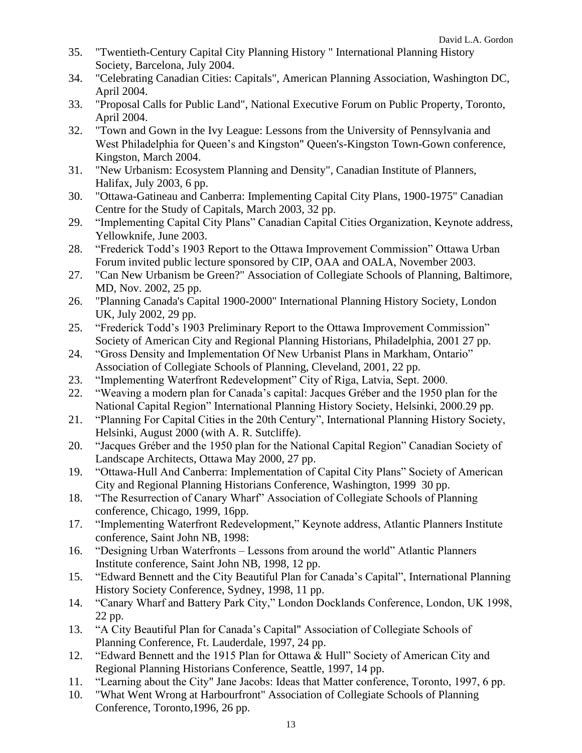- 35. "Twentieth-Century Capital City Planning History " International Planning History Society, Barcelona, July 2004.
- 34. "Celebrating Canadian Cities: Capitals", American Planning Association, Washington DC, April 2004.
- 33. "Proposal Calls for Public Land", National Executive Forum on Public Property, Toronto, April 2004.
- 32. "Town and Gown in the Ivy League: Lessons from the University of Pennsylvania and West Philadelphia for Queen's and Kingston" Queen's-Kingston Town-Gown conference, Kingston, March 2004.
- 31. "New Urbanism: Ecosystem Planning and Density", Canadian Institute of Planners, Halifax, July 2003, 6 pp.
- 30. "Ottawa-Gatineau and Canberra: Implementing Capital City Plans, 1900-1975" Canadian Centre for the Study of Capitals, March 2003, 32 pp.
- 29. "Implementing Capital City Plans" Canadian Capital Cities Organization, Keynote address, Yellowknife, June 2003.
- 28. "Frederick Todd's 1903 Report to the Ottawa Improvement Commission" Ottawa Urban Forum invited public lecture sponsored by CIP, OAA and OALA, November 2003.
- 27. "Can New Urbanism be Green?" Association of Collegiate Schools of Planning, Baltimore, MD, Nov. 2002, 25 pp.
- 26. "Planning Canada's Capital 1900-2000" International Planning History Society, London UK, July 2002, 29 pp.
- 25. "Frederick Todd's 1903 Preliminary Report to the Ottawa Improvement Commission" Society of American City and Regional Planning Historians, Philadelphia, 2001 27 pp.
- 24. "Gross Density and Implementation Of New Urbanist Plans in Markham, Ontario" Association of Collegiate Schools of Planning, Cleveland, 2001, 22 pp.
- 23. "Implementing Waterfront Redevelopment" City of Riga, Latvia, Sept. 2000.
- 22. "Weaving a modern plan for Canada's capital: Jacques Gréber and the 1950 plan for the National Capital Region" International Planning History Society, Helsinki, 2000.29 pp.
- 21. "Planning For Capital Cities in the 20th Century", International Planning History Society, Helsinki, August 2000 (with A. R. Sutcliffe).
- 20. "Jacques Gréber and the 1950 plan for the National Capital Region" Canadian Society of Landscape Architects, Ottawa May 2000, 27 pp.
- 19. "Ottawa-Hull And Canberra: Implementation of Capital City Plans" Society of American City and Regional Planning Historians Conference, Washington, 1999 30 pp.
- 18. "The Resurrection of Canary Wharf" Association of Collegiate Schools of Planning conference, Chicago, 1999, 16pp.
- 17. "Implementing Waterfront Redevelopment," Keynote address, Atlantic Planners Institute conference, Saint John NB, 1998:
- 16. "Designing Urban Waterfronts Lessons from around the world" Atlantic Planners Institute conference, Saint John NB, 1998, 12 pp.
- 15. "Edward Bennett and the City Beautiful Plan for Canada's Capital", International Planning History Society Conference, Sydney, 1998, 11 pp.
- 14. "Canary Wharf and Battery Park City," London Docklands Conference, London, UK 1998, 22 pp.
- 13. "A City Beautiful Plan for Canada's Capital" Association of Collegiate Schools of Planning Conference, Ft. Lauderdale, 1997, 24 pp.
- 12. "Edward Bennett and the 1915 Plan for Ottawa & Hull" Society of American City and Regional Planning Historians Conference, Seattle, 1997, 14 pp.
- 11. "Learning about the City" Jane Jacobs: Ideas that Matter conference, Toronto, 1997, 6 pp.
- 10. "What Went Wrong at Harbourfront" Association of Collegiate Schools of Planning Conference, Toronto,1996, 26 pp.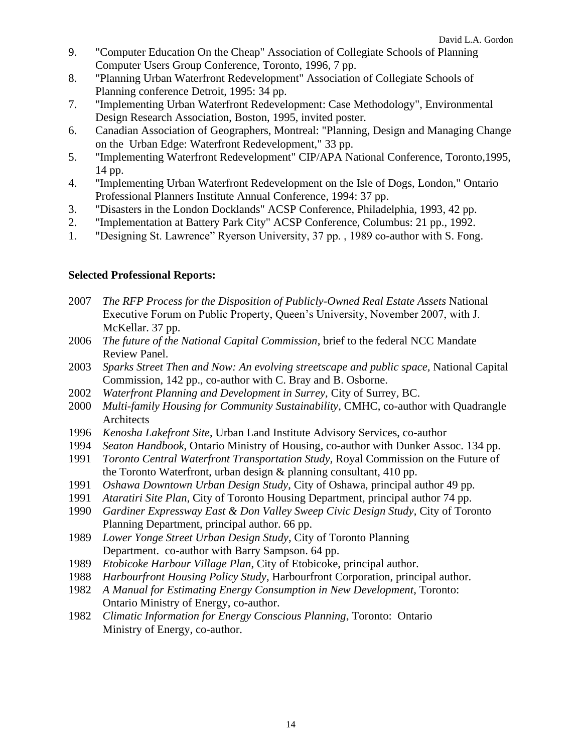- 9. "Computer Education On the Cheap" Association of Collegiate Schools of Planning Computer Users Group Conference, Toronto, 1996, 7 pp.
- 8. "Planning Urban Waterfront Redevelopment" Association of Collegiate Schools of Planning conference Detroit, 1995: 34 pp.
- 7. "Implementing Urban Waterfront Redevelopment: Case Methodology", Environmental Design Research Association, Boston, 1995, invited poster.
- 6. Canadian Association of Geographers, Montreal: "Planning, Design and Managing Change on the Urban Edge: Waterfront Redevelopment," 33 pp.
- 5. "Implementing Waterfront Redevelopment" CIP/APA National Conference, Toronto,1995, 14 pp.
- 4. "Implementing Urban Waterfront Redevelopment on the Isle of Dogs, London," Ontario Professional Planners Institute Annual Conference, 1994: 37 pp.
- 3. "Disasters in the London Docklands" ACSP Conference, Philadelphia, 1993, 42 pp.
- 2. "Implementation at Battery Park City" ACSP Conference, Columbus: 21 pp., 1992.
- 1. "Designing St. Lawrence" Ryerson University, 37 pp. , 1989 co-author with S. Fong.

#### **Selected Professional Reports:**

- 2007 *The RFP Process for the Disposition of Publicly-Owned Real Estate Assets* National Executive Forum on Public Property, Queen's University, November 2007, with J. McKellar. 37 pp.
- 2006 *The future of the National Capital Commission*, brief to the federal NCC Mandate Review Panel.
- 2003 *Sparks Street Then and Now: An evolving streetscape and public space,* National Capital Commission, 142 pp., co-author with C. Bray and B. Osborne.
- 2002 *Waterfront Planning and Development in Surrey,* City of Surrey, BC.
- 2000 *Multi-family Housing for Community Sustainability*, CMHC, co-author with Quadrangle Architects
- 1996 *Kenosha Lakefront Site*, Urban Land Institute Advisory Services, co-author
- 1994 *Seaton Handbook*, Ontario Ministry of Housing, co-author with Dunker Assoc. 134 pp.
- 1991 *Toronto Central Waterfront Transportation Study,* Royal Commission on the Future of the Toronto Waterfront, urban design & planning consultant, 410 pp.
- 1991 *Oshawa Downtown Urban Design Study*, City of Oshawa, principal author 49 pp.
- 1991 *Ataratiri Site Plan*, City of Toronto Housing Department, principal author 74 pp.
- 1990 *Gardiner Expressway East & Don Valley Sweep Civic Design Study*, City of Toronto Planning Department, principal author. 66 pp.
- 1989 *Lower Yonge Street Urban Design Study*, City of Toronto Planning Department. co-author with Barry Sampson. 64 pp.
- 1989 *Etobicoke Harbour Village Plan*, City of Etobicoke, principal author.
- 1988 *Harbourfront Housing Policy Study*, Harbourfront Corporation, principal author.
- 1982 *A Manual for Estimating Energy Consumption in New Development*, Toronto: Ontario Ministry of Energy, co-author.
- 1982 *Climatic Information for Energy Conscious Planning*, Toronto: Ontario Ministry of Energy, co-author.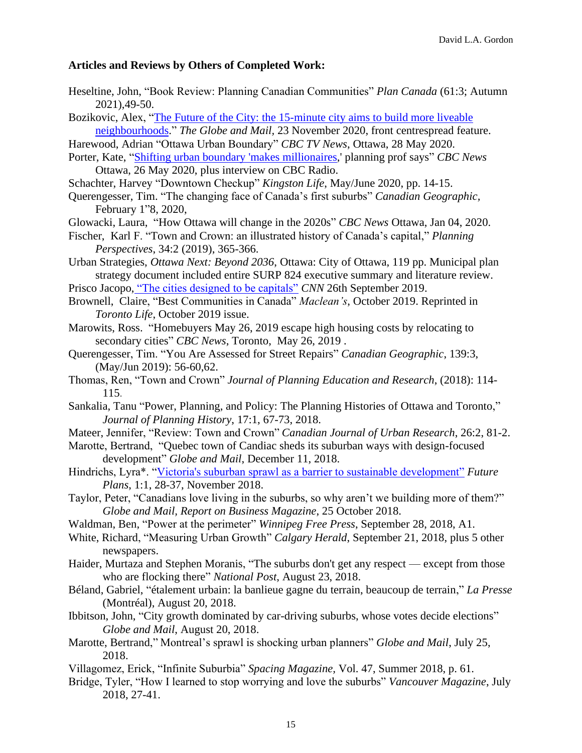#### **Articles and Reviews by Others of Completed Work:**

- Heseltine, John, "Book Review: Planning Canadian Communities" *Plan Canada* (61:3; Autumn 2021),49-50.
- Bozikovic, Alex, ["The Future of the City: the 15-minute city aims to build more liveable](https://www.theglobeandmail.com/canada/article-when-it-comes-to-liveable-neighbourhoods-theres-a-wide-divide-in/)  [neighbourhoods.](https://www.theglobeandmail.com/canada/article-when-it-comes-to-liveable-neighbourhoods-theres-a-wide-divide-in/)" *The Globe and Mail,* 23 November 2020, front centrespread feature.
- Harewood, Adrian "Ottawa Urban Boundary" *CBC TV News*, Ottawa, 28 May 2020.
- Porter, Kate, ["Shifting urban boundary 'makes millionaires,](https://www.cbc.ca/news/canada/ottawa/urban-boundary-financial-rural-land-1.5583319)' planning prof says" *CBC News* Ottawa, 26 May 2020, plus interview on CBC Radio.
- Schachter, Harvey "Downtown Checkup" *Kingston Life*, May/June 2020, pp. 14-15.
- Querengesser, Tim. "The changing face of Canada's first suburbs" *Canadian Geographic,* February 1"8, 2020,
- Glowacki, Laura, "How Ottawa will change in the 2020s" *CBC News* Ottawa, Jan 04, 2020.
- Fischer, Karl F. "Town and Crown: an illustrated history of Canada's capital," *Planning Perspectives*, 34:2 (2019), 365-366.
- Urban Strategies, *Ottawa Next: Beyond 2036*, Ottawa: City of Ottawa, 119 pp. Municipal plan strategy document included entire SURP 824 executive summary and literature review.

Prisco Jacopo, ["The cities designed to be capitals"](http://us.cnn.com/style/article/constructed-capital-cities/index.html) *CNN* 26th September 2019.

- Brownell, Claire, "Best Communities in Canada" *Maclean's*, October 2019. Reprinted in *Toronto Life*, October 2019 issue.
- Marowits, Ross. "Homebuyers May 26, 2019 escape high housing costs by relocating to secondary cities" *CBC News*, Toronto, May 26, 2019 .
- Querengesser, Tim. "You Are Assessed for Street Repairs" *Canadian Geographic*, 139:3, (May/Jun 2019): 56-60,62.
- Thomas, Ren, "Town and Crown" *Journal of Planning Education and Research*, (2018): 114- 115.
- Sankalia, Tanu "Power, Planning, and Policy: The Planning Histories of Ottawa and Toronto," *Journal of Planning History*, 17:1, 67-73, 2018.
- Mateer, Jennifer, "Review: Town and Crown" *Canadian Journal of Urban Research*, 26:2, 81-2.
- Marotte, Bertrand, "Quebec town of Candiac sheds its suburban ways with design-focused development" *Globe and Mail*, December 11, 2018.
- Hindrichs, Lyra\*. ["Victoria's suburban sprawl as a barrier to sustainable development"](http://hdl.handle.net/10613/8610) *Future Plans*, 1:1, 28-37, November 2018.
- Taylor, Peter, "Canadians love living in the suburbs, so why aren't we building more of them?" *Globe and Mail, Report on Business Magazine*, 25 October 2018.
- Waldman, Ben, "Power at the perimeter" *Winnipeg Free Press*, September 28, 2018, A1.
- White, Richard, "Measuring Urban Growth" *Calgary Herald*, September 21, 2018, plus 5 other newspapers.
- Haider, Murtaza and Stephen Moranis, "The suburbs don't get any respect except from those who are flocking there" *National Post*, August 23, 2018.
- Béland, Gabriel, "étalement urbain: la banlieue gagne du terrain, beaucoup de terrain," *La Presse* (Montréal), August 20, 2018.
- Ibbitson, John, "City growth dominated by car-driving suburbs, whose votes decide elections" *Globe and Mail*, August 20, 2018.
- Marotte, Bertrand," Montreal's sprawl is shocking urban planners" *Globe and Mail*, July 25, 2018.
- Villagomez, Erick, "Infinite Suburbia" *Spacing Magazine,* Vol. 47, Summer 2018, p. 61.
- Bridge, Tyler, "How I learned to stop worrying and love the suburbs" *Vancouver Magazine*, July 2018, 27-41.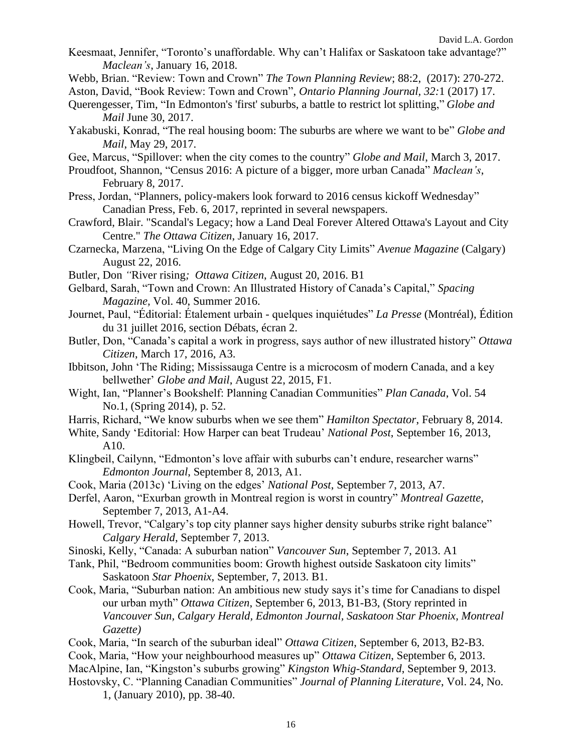- Keesmaat, Jennifer, "Toronto's unaffordable. Why can't Halifax or Saskatoon take advantage?" *Maclean's*, January 16, 2018.
- Webb, Brian. "Review: Town and Crown" *The Town Planning Review*; 88:2, (2017): 270-272.

Aston, David, "Book Review: Town and Crown", *Ontario Planning Journal, 32:*1 (2017) 17.

- Querengesser, Tim, "In Edmonton's 'first' suburbs, a battle to restrict lot splitting," *Globe and Mail* June 30, 2017.
- Yakabuski, Konrad, "The real housing boom: The suburbs are where we want to be" *Globe and Mail*, May 29, 2017.
- Gee, Marcus, "Spillover: when the city comes to the country" *Globe and Mail*, March 3, 2017.
- Proudfoot, Shannon, "Census 2016: A picture of a bigger, more urban Canada" *Maclean's*, February 8, 2017.
- Press, Jordan, "Planners, policy-makers look forward to 2016 census kickoff Wednesday" Canadian Press, Feb. 6, 2017, reprinted in several newspapers.
- Crawford, Blair. "Scandal's Legacy; how a Land Deal Forever Altered Ottawa's Layout and City Centre." *The Ottawa Citizen*, January 16, 2017.
- Czarnecka, Marzena, "Living On the Edge of Calgary City Limits" *Avenue Magazine* (Calgary) August 22, 2016.
- Butler, Don *"*River rising*; Ottawa Citizen*, August 20, 2016. B1
- Gelbard, Sarah, "Town and Crown: An Illustrated History of Canada's Capital," *Spacing Magazine,* Vol. 40, Summer 2016.
- Journet, Paul, "Éditorial: Étalement urbain quelques inquiétudes" *La Presse* (Montréal), Édition du 31 juillet 2016, section Débats, écran 2.
- Butler, Don, "Canada's capital a work in progress, says author of new illustrated history" *Ottawa Citizen*, March 17, 2016, A3.
- Ibbitson, John 'The Riding; Mississauga Centre is a microcosm of modern Canada, and a key bellwether' *Globe and Mail*, August 22, 2015, F1.
- Wight, Ian, "Planner's Bookshelf: Planning Canadian Communities" *Plan Canada*, Vol. 54 No.1, (Spring 2014), p. 52.
- Harris, Richard, "We know suburbs when we see them" *Hamilton Spectator*, February 8, 2014.
- White, Sandy 'Editorial: How Harper can beat Trudeau' *National Post*, September 16, 2013, A10.
- Klingbeil, Cailynn, "Edmonton's love affair with suburbs can't endure, researcher warns" *Edmonton Journal*, September 8, 2013, A1.
- Cook, Maria (2013c) 'Living on the edges' *National Post*, September 7, 2013, A7.
- Derfel, Aaron, "Exurban growth in Montreal region is worst in country" *Montreal Gazette*, September 7, 2013*,* A1-A4.
- Howell, Trevor, "Calgary's top city planner says higher density suburbs strike right balance" *Calgary Herald*, September 7, 2013.
- Sinoski, Kelly, "Canada: A suburban nation" *Vancouver Sun*, September 7, 2013. A1
- Tank, Phil, "Bedroom communities boom: Growth highest outside Saskatoon city limits" Saskatoon *Star Phoenix*, September, 7, 2013. B1.
- Cook, Maria, "Suburban nation: An ambitious new study says it's time for Canadians to dispel our urban myth" *Ottawa Citizen*, September 6, 2013, B1-B3, (Story reprinted in *Vancouver Sun, Calgary Herald, Edmonton Journal, Saskatoon Star Phoenix, Montreal Gazette)*
- Cook, Maria, "In search of the suburban ideal" *Ottawa Citizen*, September 6, 2013, B2-B3.
- Cook, Maria, "How your neighbourhood measures up" *Ottawa Citizen*, September 6, 2013.
- MacAlpine, Ian, "Kingston's suburbs growing" *Kingston Whig-Standard*, September 9, 2013. Hostovsky, C. "Planning Canadian Communities" *Journal of Planning Literature*, Vol. 24, No.
	- 1, (January 2010), pp. 38-40.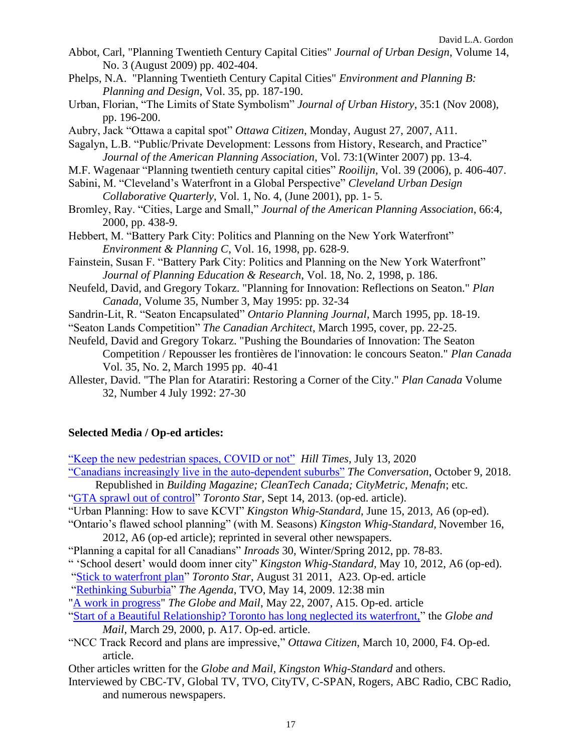- Abbot, Carl, "Planning Twentieth Century Capital Cities" *Journal of Urban Design*, Volume 14, No. 3 (August 2009) pp. 402-404.
- Phelps, N.A. "Planning Twentieth Century Capital Cities" *Environment and Planning B: Planning and Design*, Vol. 35, pp. 187-190.
- Urban, Florian, "The Limits of State Symbolism" *Journal of Urban History*, 35:1 (Nov 2008), pp. 196-200.
- Aubry, Jack "Ottawa a capital spot" *Ottawa Citizen*, Monday, August 27, 2007, A11.
- Sagalyn, L.B. "Public/Private Development: Lessons from History, Research, and Practice" *Journal of the American Planning Association*, Vol. 73:1(Winter 2007) pp. 13-4.
- M.F. Wagenaar "Planning twentieth century capital cities" *Rooilijn*, Vol. 39 (2006), p. 406-407.
- Sabini, M. "Cleveland's Waterfront in a Global Perspective" *Cleveland Urban Design Collaborative Quarterly*, Vol. 1, No. 4, (June 2001), pp. 1- 5.
- Bromley, Ray. "Cities, Large and Small," *Journal of the American Planning Association*, 66:4, 2000, pp. 438-9.
- Hebbert, M. "Battery Park City: Politics and Planning on the New York Waterfront" *Environment & Planning C*, Vol. 16, 1998, pp. 628-9.
- Fainstein, Susan F. "Battery Park City: Politics and Planning on the New York Waterfront" *Journal of Planning Education & Research*, Vol. 18, No. 2, 1998, p. 186.
- Neufeld, David, and Gregory Tokarz. "Planning for Innovation: Reflections on Seaton." *Plan Canada*, Volume 35, Number 3, May 1995: pp. 32-34
- Sandrin-Lit, R. "Seaton Encapsulated" *Ontario Planning Journal*, March 1995, pp. 18-19.
- "Seaton Lands Competition" *The Canadian Architect*, March 1995, cover, pp. 22-25.
- Neufeld, David and Gregory Tokarz. "Pushing the Boundaries of Innovation: The Seaton Competition / Repousser les frontières de l'innovation: le concours Seaton." *Plan Canada* Vol. 35, No. 2, March 1995 pp. 40-41
- Allester, David. "The Plan for Ataratiri: Restoring a Corner of the City." *Plan Canada* Volume 32, Number 4 July 1992: 27-30

#### **Selected Media / Op-ed articles:**

- ["Keep the new pedestrian spaces, COVID or not"](https://www.hilltimes.com/wp-content/uploads/2020/07/071320_PB.pdf) *Hill Times*, July 13, 2020
- ["Canadians increasingly live in the auto-dependent suburbs"](http://theconversation.com/canadians-increasingly-live-in-the-auto-dependent-suburbs-104304) *The Conversation*, October 9, 2018. Republished in *Building Magazine; CleanTech Canada; CityMetric, Menafn*; etc.
- ["GTA sprawl out of control"](https://www.thestar.com/opinion/commentary/2013/09/15/gta_sprawl_out_of_control.html) *Toronto Star*, Sept 14, 2013. (op-ed. article).
- "Urban Planning: How to save KCVI" *Kingston Whig-Standard*, June 15, 2013, A6 (op-ed).
- "Ontario's flawed school planning" (with M. Seasons) *Kingston Whig-Standard,* November 16, 2012, A6 (op-ed article); reprinted in several other newspapers.
- "Planning a capital for all Canadians" *Inroads* 30, Winter/Spring 2012, pp. 78-83.
- " 'School desert' would doom inner city" *Kingston Whig-Standard,* May 10, 2012, A6 (op-ed).
- ["Stick to waterfront plan"](https://www.thestar.com/opinion/editorialopinion/2011/08/31/stick_to_waterfront_plan.html) *Toronto Star*, August 31 2011, A23. Op-ed. article
- ["Rethinking Suburbia"](https://www.youtube.com/watch?v=xJ6n3ozz4HU) *The Agenda*, TVO, May 14, 2009. 12:38 min
- ["A work in progress"](https://www.theglobeandmail.com/opinion/a-work-in-progress/article20397778/) *The Globe and Mail*, May 22, 2007, A15. Op-ed. article
- ["Start of a Beautiful Relationship? Toronto has long neglected its waterfront,"](https://www.theglobeandmail.com/opinion/start-of-a-beautiful-relationship/article766790/) the *Globe and Mail*, March 29, 2000, p. A17. Op-ed. article.
- "NCC Track Record and plans are impressive," *Ottawa Citizen*, March 10, 2000, F4. Op-ed. article.
- Other articles written for the *Globe and Mail, Kingston Whig-Standard* and others.
- Interviewed by CBC-TV, Global TV, TVO, CityTV, C-SPAN, Rogers, ABC Radio, CBC Radio, and numerous newspapers.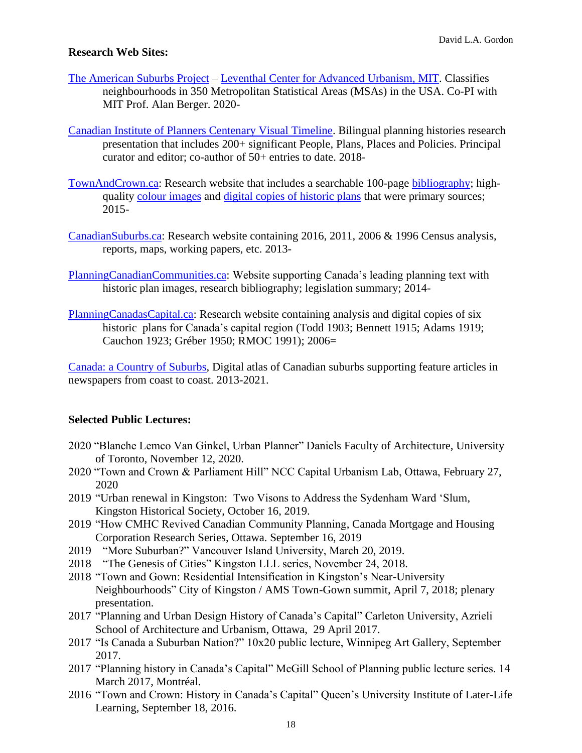#### **Research Web Sites:**

- The American [Suburbs Project](https://lcau.mit.edu/project/american-suburbs-project) [Leventhal Center for Advanced Urbanism, MIT.](https://lcau.mit.edu/) Classifies neighbourhoods in 350 Metropolitan Statistical Areas (MSAs) in the USA. Co-PI with MIT Prof. Alan Berger. 2020-
- [Canadian Institute of Planners Centenary Visual Timeline.](https://www.tiki-toki.com/timeline/entry/1259877/CIP-ICU-Centenary-Visual-Timeline/) Bilingual planning histories research presentation that includes 200+ significant People, Plans, Places and Policies. Principal curator and editor; co-author of 50+ entries to date. 2018-
- [TownAndCrown.ca:](http://townandcrown.ca/) Research website that includes a searchable 100-page [bibliography;](http://townandcrown.ca/Bib.html) highquality [colour images](https://qshare.queensu.ca/Users01/gordond/planningcanadascapital/Historic.html) and [digital copies of historic plans](http://townandcrown.ca/Historic%20Plans.html) that were primary sources; 2015-
- [CanadianSuburbs.ca:](https://canadiansuburbs.ca/) Research website containing 2016, 2011, 2006 & 1996 Census analysis, reports, maps, working papers, etc. 2013[-](https://qshare.queensu.ca/Users01/gordond/Suburbs/index.html)
- [PlanningCanadianCommunities.ca:](http://planningcanadiancommunities.ca/) Website supporting Canada's leading planning text with historic plan images, research bibliography; legislation summary; 2014-
- [PlanningCanadasCapital.ca:](http://townandcrown.ca/planningcanadascapital/link.htm) Research website containing analysis and digital copies of six historic plans for Canada's capital region (Todd 1903; Bennett 1915; Adams 1919; Cauchon 1923; Gréber 1950; RMOC 1991); 2006=

[Canada: a Country of Suburbs,](http://www.canada.com/news/infographics/suburbs/suburbs.html) Digital atlas of Canadian suburbs supporting feature articles in newspapers from coast to coast. 2013-2021.

#### **Selected Public Lectures:**

- 2020 "Blanche Lemco Van Ginkel, Urban Planner" Daniels Faculty of Architecture, University of Toronto, November 12, 2020.
- 2020 "Town and Crown & Parliament Hill" NCC Capital Urbanism Lab, Ottawa, February 27, 2020
- 2019 "Urban renewal in Kingston: Two Visons to Address the Sydenham Ward 'Slum, Kingston Historical Society, October 16, 2019.
- 2019 "How CMHC Revived Canadian Community Planning, Canada Mortgage and Housing Corporation Research Series, Ottawa. September 16, 2019
- 2019 "More Suburban?" Vancouver Island University, March 20, 2019.
- 2018 "The Genesis of Cities" Kingston LLL series, November 24, 2018.
- 2018 "Town and Gown: Residential Intensification in Kingston's Near-University Neighbourhoods" City of Kingston / AMS Town-Gown summit, April 7, 2018; plenary presentation.
- 2017 "Planning and Urban Design History of Canada's Capital" Carleton University, Azrieli School of Architecture and Urbanism, Ottawa, 29 April 2017.
- 2017 "Is Canada a Suburban Nation?" 10x20 public lecture, Winnipeg Art Gallery, September 2017.
- 2017 "Planning history in Canada's Capital" McGill School of Planning public lecture series. 14 March 2017, Montréal.
- 2016 "Town and Crown: History in Canada's Capital" Queen's University Institute of Later-Life Learning, September 18, 2016.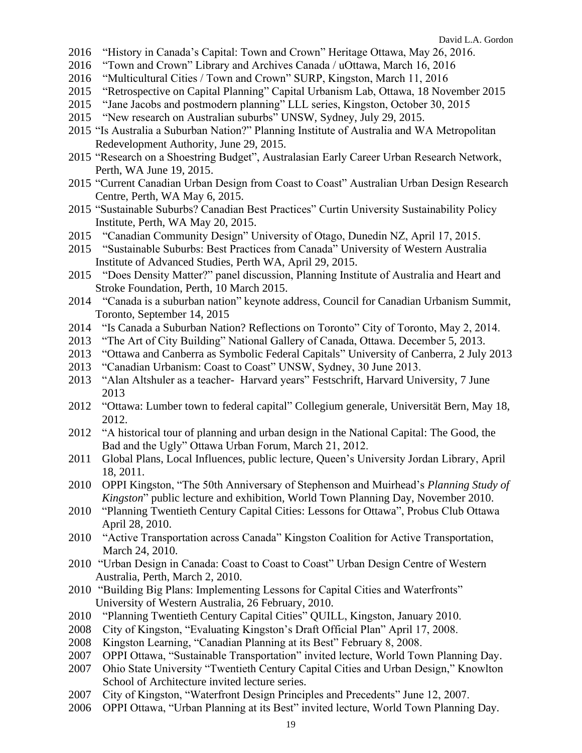- "History in Canada's Capital: Town and Crown" Heritage Ottawa, May 26, 2016.
- "Town and Crown" Library and Archives Canada / uOttawa, March 16, 2016
- "Multicultural Cities / Town and Crown" SURP, Kingston, March 11, 2016
- "Retrospective on Capital Planning" Capital Urbanism Lab, Ottawa, 18 November 2015
- "Jane Jacobs and postmodern planning" LLL series, Kingston, October 30, 2015
- "New research on Australian suburbs" UNSW, Sydney, July 29, 2015.
- "Is Australia a Suburban Nation?" Planning Institute of Australia and WA Metropolitan Redevelopment Authority, June 29, 2015.
- "Research on a Shoestring Budget", Australasian Early Career Urban Research Network, Perth, WA June 19, 2015.
- "Current Canadian Urban Design from Coast to Coast" Australian Urban Design Research Centre, Perth, WA May 6, 2015.
- "Sustainable Suburbs? Canadian Best Practices" Curtin University Sustainability Policy Institute, Perth, WA May 20, 2015.
- "Canadian Community Design" University of Otago, Dunedin NZ, April 17, 2015.
- "Sustainable Suburbs: Best Practices from Canada" University of Western Australia Institute of Advanced Studies, Perth WA, April 29, 2015.
- "Does Density Matter?" panel discussion, Planning Institute of Australia and Heart and Stroke Foundation, Perth, 10 March 2015.
- "Canada is a suburban nation" keynote address, Council for Canadian Urbanism Summit, Toronto, September 14, 2015
- 2014 "Is Canada a Suburban Nation? Reflections on Toronto" City of Toronto, May 2, 2014.
- "The Art of City Building" National Gallery of Canada, Ottawa. December 5, 2013.
- "Ottawa and Canberra as Symbolic Federal Capitals" University of Canberra, 2 July 2013
- "Canadian Urbanism: Coast to Coast" UNSW, Sydney, 30 June 2013.
- "Alan Altshuler as a teacher- Harvard years" Festschrift, Harvard University, 7 June
- "Ottawa: Lumber town to federal capital" Collegium generale, Universität Bern, May 18, 2012.
- "A historical tour of planning and urban design in the National Capital: The Good, the Bad and the Ugly" Ottawa Urban Forum, March 21, 2012.
- Global Plans, Local Influences, public lecture, Queen's University Jordan Library, April 18, 2011.
- OPPI Kingston, "The 50th Anniversary of Stephenson and Muirhead's *Planning Study of Kingston*" public lecture and exhibition, World Town Planning Day, November 2010.
- "Planning Twentieth Century Capital Cities: Lessons for Ottawa", Probus Club Ottawa April 28, 2010.
- "Active Transportation across Canada" Kingston Coalition for Active Transportation, March 24, 2010.
- "Urban Design in Canada: Coast to Coast to Coast" Urban Design Centre of Western Australia, Perth, March 2, 2010.
- "Building Big Plans: Implementing Lessons for Capital Cities and Waterfronts" University of Western Australia, 26 February, 2010.
- "Planning Twentieth Century Capital Cities" QUILL, Kingston, January 2010.
- City of Kingston, "Evaluating Kingston's Draft Official Plan" April 17, 2008.
- Kingston Learning, "Canadian Planning at its Best" February 8, 2008.
- OPPI Ottawa, "Sustainable Transportation" invited lecture, World Town Planning Day.
- Ohio State University "Twentieth Century Capital Cities and Urban Design," Knowlton School of Architecture invited lecture series.
- City of Kingston, "Waterfront Design Principles and Precedents" June 12, 2007.
- OPPI Ottawa, "Urban Planning at its Best" invited lecture, World Town Planning Day.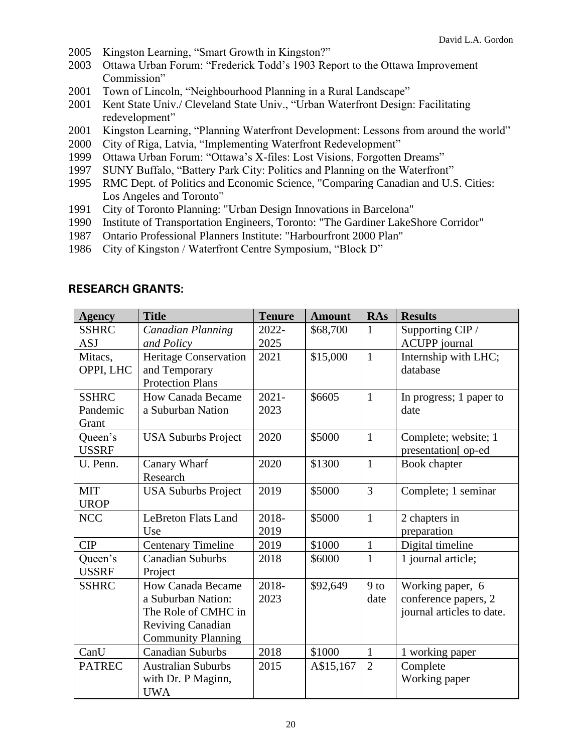- 2005 Kingston Learning, "Smart Growth in Kingston?"
- 2003 Ottawa Urban Forum: "Frederick Todd's 1903 Report to the Ottawa Improvement Commission"
- 2001 Town of Lincoln, "Neighbourhood Planning in a Rural Landscape"
- 2001 Kent State Univ./ Cleveland State Univ., "Urban Waterfront Design: Facilitating redevelopment"
- 2001 Kingston Learning, "Planning Waterfront Development: Lessons from around the world"
- 2000 City of Riga, Latvia, "Implementing Waterfront Redevelopment"
- 1999 Ottawa Urban Forum: "Ottawa's X-files: Lost Visions, Forgotten Dreams"
- 1997 SUNY Buffalo, "Battery Park City: Politics and Planning on the Waterfront"
- 1995 RMC Dept. of Politics and Economic Science, "Comparing Canadian and U.S. Cities: Los Angeles and Toronto"
- 1991 City of Toronto Planning: "Urban Design Innovations in Barcelona"
- 1990 Institute of Transportation Engineers, Toronto: "The Gardiner LakeShore Corridor"
- 1987 Ontario Professional Planners Institute: "Harbourfront 2000 Plan"
- 1986 City of Kingston / Waterfront Centre Symposium, "Block D"

| <b>Agency</b> | <b>Title</b>                 | <b>Tenure</b> | <b>Amount</b> | <b>RAs</b>      | <b>Results</b>            |
|---------------|------------------------------|---------------|---------------|-----------------|---------------------------|
| <b>SSHRC</b>  | Canadian Planning            | 2022-         | \$68,700      | 1               | Supporting CIP /          |
| <b>ASJ</b>    | and Policy                   | 2025          |               |                 | <b>ACUPP</b> journal      |
| Mitacs,       | <b>Heritage Conservation</b> | 2021          | \$15,000      | $\mathbf{1}$    | Internship with LHC;      |
| OPPI, LHC     | and Temporary                |               |               |                 | database                  |
|               | <b>Protection Plans</b>      |               |               |                 |                           |
| <b>SSHRC</b>  | <b>How Canada Became</b>     | $2021 -$      | \$6605        | $\mathbf{1}$    | In progress; 1 paper to   |
| Pandemic      | a Suburban Nation            | 2023          |               |                 | date                      |
| Grant         |                              |               |               |                 |                           |
| Queen's       | <b>USA Suburbs Project</b>   | 2020          | \$5000        | $\mathbf{1}$    | Complete; website; 1      |
| <b>USSRF</b>  |                              |               |               |                 | presentation[ op-ed       |
| U. Penn.      | Canary Wharf                 | 2020          | \$1300        | $\mathbf{1}$    | Book chapter              |
|               | Research                     |               |               |                 |                           |
| <b>MIT</b>    | <b>USA Suburbs Project</b>   | 2019          | \$5000        | 3               | Complete; 1 seminar       |
| <b>UROP</b>   |                              |               |               |                 |                           |
| <b>NCC</b>    | <b>LeBreton Flats Land</b>   | 2018-         | \$5000        | $\mathbf{1}$    | 2 chapters in             |
|               | Use                          | 2019          |               |                 | preparation               |
| <b>CIP</b>    | <b>Centenary Timeline</b>    | 2019          | \$1000        | $\mathbf{1}$    | Digital timeline          |
| Queen's       | <b>Canadian Suburbs</b>      | 2018          | \$6000        | $\mathbf{1}$    | 1 journal article;        |
| <b>USSRF</b>  | Project                      |               |               |                 |                           |
| <b>SSHRC</b>  | <b>How Canada Became</b>     | 2018-         | \$92,649      | 9 <sub>to</sub> | Working paper, 6          |
|               | a Suburban Nation:           | 2023          |               | date            | conference papers, 2      |
|               | The Role of CMHC in          |               |               |                 | journal articles to date. |
|               | <b>Reviving Canadian</b>     |               |               |                 |                           |
|               | <b>Community Planning</b>    |               |               |                 |                           |
| CanU          | <b>Canadian Suburbs</b>      | 2018          | \$1000        | $\mathbf{1}$    | 1 working paper           |
| <b>PATREC</b> | <b>Australian Suburbs</b>    | 2015          | A\$15,167     | $\overline{2}$  | Complete                  |
|               | with Dr. P Maginn,           |               |               |                 | Working paper             |
|               | <b>UWA</b>                   |               |               |                 |                           |

#### **RESEARCH GRANTS:**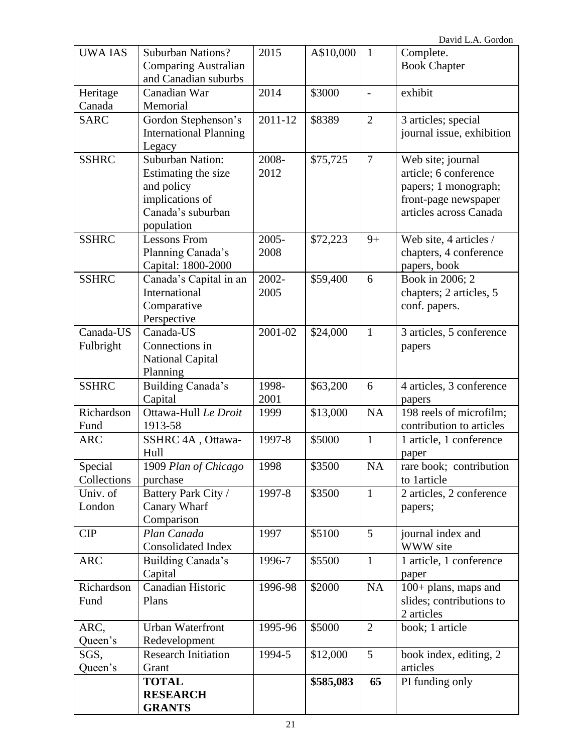| <b>UWA IAS</b>     | <b>Suburban Nations?</b>         | 2015    | A\$10,000 | $\mathbf{1}$    | Complete.                                           |
|--------------------|----------------------------------|---------|-----------|-----------------|-----------------------------------------------------|
|                    | <b>Comparing Australian</b>      |         |           |                 | <b>Book Chapter</b>                                 |
|                    | and Canadian suburbs             |         |           |                 |                                                     |
| Heritage           | Canadian War                     | 2014    | \$3000    | $\overline{a}$  | exhibit                                             |
| Canada             | Memorial                         |         |           |                 |                                                     |
| <b>SARC</b>        | Gordon Stephenson's              | 2011-12 | \$8389    | $\overline{2}$  | 3 articles; special                                 |
|                    | <b>International Planning</b>    |         |           |                 | journal issue, exhibition                           |
|                    | Legacy                           |         |           |                 |                                                     |
| <b>SSHRC</b>       | <b>Suburban Nation:</b>          | 2008-   | \$75,725  | $\overline{7}$  | Web site; journal                                   |
|                    | Estimating the size              | 2012    |           |                 | article; 6 conference                               |
|                    | and policy                       |         |           |                 | papers; 1 monograph;                                |
|                    | implications of                  |         |           |                 | front-page newspaper                                |
|                    | Canada's suburban                |         |           |                 | articles across Canada                              |
|                    | population                       |         |           |                 |                                                     |
| <b>SSHRC</b>       | <b>Lessons From</b>              | 2005-   | \$72,223  | $9+$            | Web site, 4 articles /                              |
|                    | Planning Canada's                | 2008    |           |                 | chapters, 4 conference                              |
|                    | Capital: 1800-2000               |         |           |                 | papers, book                                        |
| <b>SSHRC</b>       | Canada's Capital in an           | 2002-   | \$59,400  | 6               | Book in 2006; 2                                     |
|                    | International                    | 2005    |           |                 | chapters; 2 articles, 5                             |
|                    | Comparative                      |         |           |                 | conf. papers.                                       |
|                    | Perspective                      |         |           |                 |                                                     |
| Canada-US          | Canada-US<br>Connections in      | 2001-02 | \$24,000  | $\mathbf{1}$    | 3 articles, 5 conference                            |
| Fulbright          | <b>National Capital</b>          |         |           |                 | papers                                              |
|                    | Planning                         |         |           |                 |                                                     |
| <b>SSHRC</b>       | Building Canada's                | 1998-   | \$63,200  | 6               | 4 articles, 3 conference                            |
|                    |                                  |         |           |                 |                                                     |
|                    |                                  |         |           |                 |                                                     |
|                    | Capital                          | 2001    |           |                 | papers                                              |
| Richardson<br>Fund | Ottawa-Hull Le Droit<br>1913-58  | 1999    | \$13,000  | NA              | 198 reels of microfilm;<br>contribution to articles |
| <b>ARC</b>         | SSHRC 4A, Ottawa-                | 1997-8  | \$5000    | $\mathbf{1}$    | 1 article, 1 conference                             |
|                    | Hull                             |         |           |                 | paper                                               |
| Special            | 1909 Plan of Chicago             | 1998    | \$3500    | <b>NA</b>       | rare book; contribution                             |
| Collections        | purchase                         |         |           |                 | to 1 article                                        |
| Univ. of           | Battery Park City /              | 1997-8  | \$3500    | $\mathbf{1}$    | 2 articles, 2 conference                            |
| London             | Canary Wharf                     |         |           |                 | papers;                                             |
|                    | Comparison                       |         |           |                 |                                                     |
| <b>CIP</b>         | Plan Canada                      | 1997    | \$5100    | $5\overline{)}$ | journal index and                                   |
|                    | <b>Consolidated Index</b>        |         |           |                 | WWW site                                            |
| <b>ARC</b>         | Building Canada's                | 1996-7  | \$5500    | $\mathbf{1}$    | 1 article, 1 conference                             |
|                    | Capital                          |         |           |                 | paper                                               |
| Richardson         | Canadian Historic                | 1996-98 | \$2000    | <b>NA</b>       | 100+ plans, maps and                                |
| Fund               | Plans                            |         |           |                 | slides; contributions to                            |
|                    |                                  |         |           |                 | 2 articles                                          |
| ARC,               | <b>Urban Waterfront</b>          | 1995-96 | \$5000    | $\overline{2}$  | book; 1 article                                     |
| Queen's            | Redevelopment                    |         |           |                 |                                                     |
| SGS,               | <b>Research Initiation</b>       | 1994-5  | \$12,000  | $5\overline{)}$ | book index, editing, 2                              |
| Queen's            | Grant                            |         |           |                 | articles                                            |
|                    | <b>TOTAL</b>                     |         | \$585,083 | 65              | PI funding only                                     |
|                    | <b>RESEARCH</b><br><b>GRANTS</b> |         |           |                 |                                                     |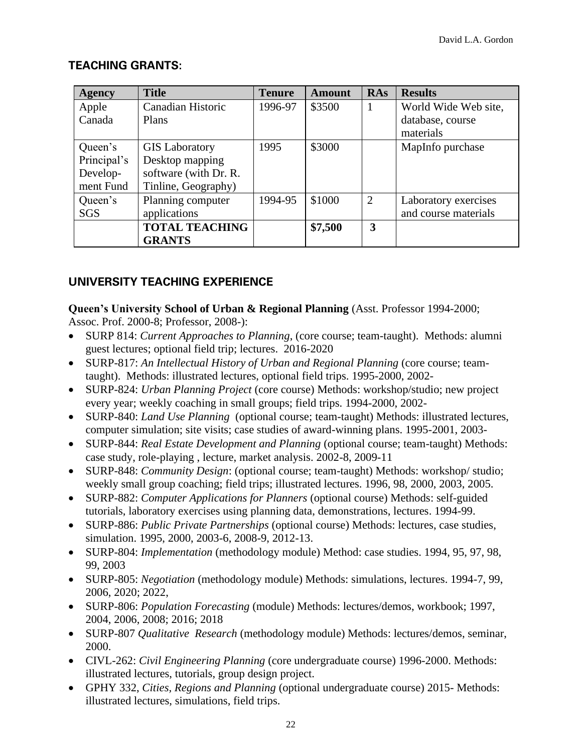## **TEACHING GRANTS:**

| <b>Agency</b> | <b>Title</b>          | <b>Tenure</b> | <b>Amount</b> | <b>RAs</b> | <b>Results</b>       |
|---------------|-----------------------|---------------|---------------|------------|----------------------|
| Apple         | Canadian Historic     | 1996-97       | \$3500        |            | World Wide Web site, |
| Canada        | Plans                 |               |               |            | database, course     |
|               |                       |               |               |            | materials            |
| Queen's       | <b>GIS</b> Laboratory | 1995          | \$3000        |            | MapInfo purchase     |
| Principal's   | Desktop mapping       |               |               |            |                      |
| Develop-      | software (with Dr. R. |               |               |            |                      |
| ment Fund     | Tinline, Geography)   |               |               |            |                      |
| Queen's       | Planning computer     | 1994-95       | \$1000        | 2          | Laboratory exercises |
| <b>SGS</b>    | applications          |               |               |            | and course materials |
|               | <b>TOTAL TEACHING</b> |               | \$7,500       | 3          |                      |
|               | <b>GRANTS</b>         |               |               |            |                      |

## **UNIVERSITY TEACHING EXPERIENCE**

**Queen's University School of Urban & Regional Planning** (Asst. Professor 1994-2000; Assoc. Prof. 2000-8; Professor, 2008-):

- SURP 814: *Current Approaches to Planning*, (core course; team-taught). Methods: alumni guest lectures; optional field trip; lectures. 2016-2020
- SURP-817: *An Intellectual History of Urban and Regional Planning* (core course; teamtaught). Methods: illustrated lectures, optional field trips. 1995-2000, 2002-
- SURP-824: *Urban Planning Project* (core course) Methods: workshop/studio; new project every year; weekly coaching in small groups; field trips. 1994-2000, 2002-
- SURP-840: *Land Use Planning* (optional course; team-taught) Methods: illustrated lectures, computer simulation; site visits; case studies of award-winning plans. 1995-2001, 2003-
- SURP-844: *Real Estate Development and Planning* (optional course; team-taught) Methods: case study, role-playing , lecture, market analysis. 2002-8, 2009-11
- SURP-848: *Community Design*: (optional course; team-taught) Methods: workshop/ studio; weekly small group coaching; field trips; illustrated lectures. 1996, 98, 2000, 2003, 2005.
- SURP-882: *Computer Applications for Planners* (optional course) Methods: self-guided tutorials, laboratory exercises using planning data, demonstrations, lectures. 1994-99.
- SURP-886: *Public Private Partnerships* (optional course) Methods: lectures, case studies, simulation. 1995, 2000, 2003-6, 2008-9, 2012-13.
- SURP-804: *Implementation* (methodology module) Method: case studies. 1994, 95, 97, 98, 99, 2003
- SURP-805: *Negotiation* (methodology module) Methods: simulations, lectures. 1994-7, 99, 2006, 2020; 2022,
- SURP-806: *Population Forecasting* (module) Methods: lectures/demos, workbook; 1997, 2004, 2006, 2008; 2016; 2018
- SURP-807 *Qualitative Research* (methodology module) Methods: lectures/demos, seminar, 2000.
- CIVL-262: *Civil Engineering Planning* (core undergraduate course) 1996-2000. Methods: illustrated lectures, tutorials, group design project.
- GPHY 332, *Cities, Regions and Planning* (optional undergraduate course) 2015- Methods: illustrated lectures, simulations, field trips.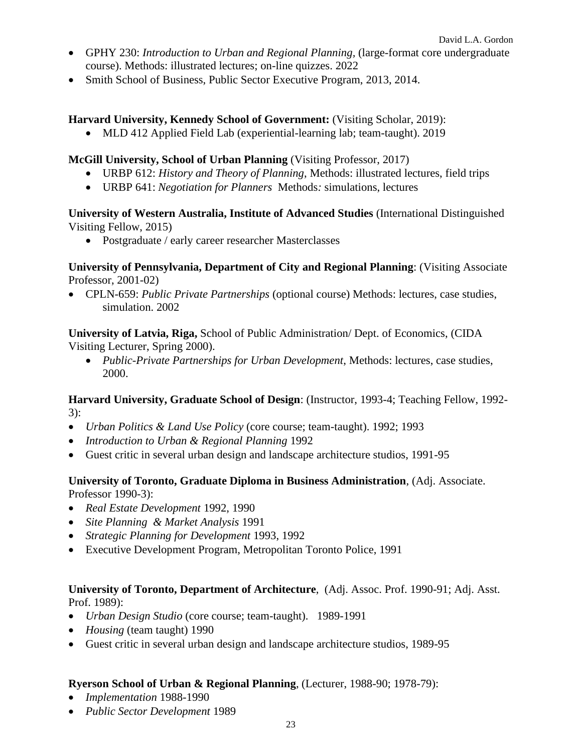- GPHY 230: *Introduction to Urban and Regional Planning,* (large-format core undergraduate course). Methods: illustrated lectures; on-line quizzes. 2022
- Smith School of Business, Public Sector Executive Program, 2013, 2014.

#### **Harvard University, Kennedy School of Government:** (Visiting Scholar, 2019):

• MLD 412 Applied Field Lab (experiential-learning lab; team-taught). 2019

#### **McGill University, School of Urban Planning** (Visiting Professor, 2017)

- URBP 612: *History and Theory of Planning*, Methods: illustrated lectures, field trips
- URBP 641: *Negotiation for Planners* Methods*:* simulations, lectures

#### **University of Western Australia, Institute of Advanced Studies** (International Distinguished Visiting Fellow, 2015)

• Postgraduate / early career researcher Masterclasses

#### **University of Pennsylvania, Department of City and Regional Planning**: (Visiting Associate Professor, 2001-02)

• CPLN-659: *Public Private Partnerships* (optional course) Methods: lectures, case studies, simulation. 2002

**University of Latvia, Riga,** School of Public Administration/ Dept. of Economics, (CIDA Visiting Lecturer, Spring 2000).

• *Public-Private Partnerships for Urban Development*, Methods: lectures, case studies, 2000.

**Harvard University, Graduate School of Design**: (Instructor, 1993-4; Teaching Fellow, 1992- 3):

- *Urban Politics & Land Use Policy* (core course; team-taught). 1992; 1993
- *Introduction to Urban & Regional Planning* 1992
- Guest critic in several urban design and landscape architecture studios, 1991-95

#### **University of Toronto, Graduate Diploma in Business Administration**, (Adj. Associate. Professor 1990-3):

- *Real Estate Development* 1992, 1990
- *Site Planning & Market Analysis* 1991
- *Strategic Planning for Development* 1993, 1992
- Executive Development Program, Metropolitan Toronto Police, 1991

#### **University of Toronto, Department of Architecture**, (Adj. Assoc. Prof. 1990-91; Adj. Asst. Prof. 1989):

- *Urban Design Studio* (core course; team-taught). 1989-1991
- *Housing* (team taught) 1990
- Guest critic in several urban design and landscape architecture studios, 1989-95

#### **Ryerson School of Urban & Regional Planning**, (Lecturer, 1988-90; 1978-79):

- *Implementation* 1988-1990
- *Public Sector Development* 1989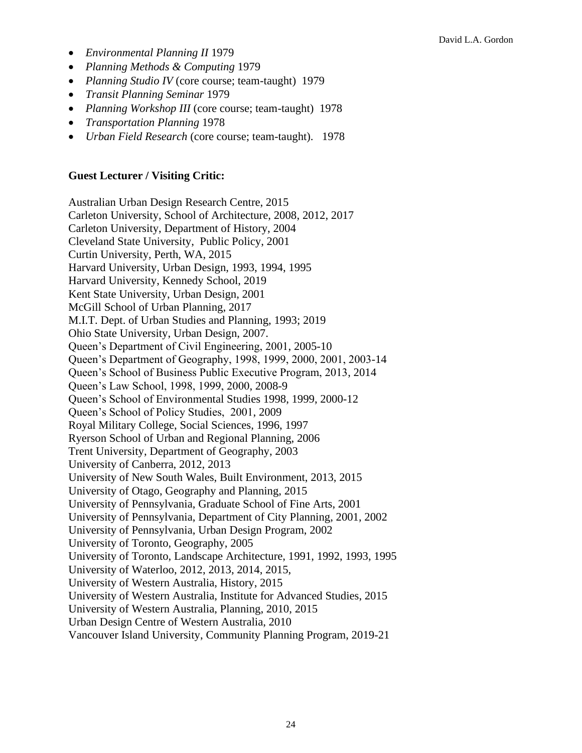- *Environmental Planning II* 1979
- *Planning Methods & Computing* 1979
- *Planning Studio IV* (core course; team-taught) 1979
- *Transit Planning Seminar* 1979
- *Planning Workshop III* (core course; team-taught) 1978
- *Transportation Planning* 1978
- *Urban Field Research* (core course; team-taught). 1978

#### **Guest Lecturer / Visiting Critic:**

Australian Urban Design Research Centre, 2015 Carleton University, School of Architecture, 2008, 2012, 2017 Carleton University, Department of History, 2004 Cleveland State University, Public Policy, 2001 Curtin University, Perth, WA, 2015 Harvard University, Urban Design, 1993, 1994, 1995 Harvard University, Kennedy School, 2019 Kent State University, Urban Design, 2001 McGill School of Urban Planning, 2017 M.I.T. Dept. of Urban Studies and Planning, 1993; 2019 Ohio State University, Urban Design, 2007. Queen's Department of Civil Engineering, 2001, 2005-10 Queen's Department of Geography, 1998, 1999, 2000, 2001, 2003-14 Queen's School of Business Public Executive Program, 2013, 2014 Queen's Law School, 1998, 1999, 2000, 2008-9 Queen's School of Environmental Studies 1998, 1999, 2000-12 Queen's School of Policy Studies, 2001, 2009 Royal Military College, Social Sciences, 1996, 1997 Ryerson School of Urban and Regional Planning, 2006 Trent University, Department of Geography, 2003 University of Canberra, 2012, 2013 University of New South Wales, Built Environment, 2013, 2015 University of Otago, Geography and Planning, 2015 University of Pennsylvania, Graduate School of Fine Arts, 2001 University of Pennsylvania, Department of City Planning, 2001, 2002 University of Pennsylvania, Urban Design Program, 2002 University of Toronto, Geography, 2005 University of Toronto, Landscape Architecture, 1991, 1992, 1993, 1995 University of Waterloo, 2012, 2013, 2014, 2015, University of Western Australia, History, 2015 University of Western Australia, Institute for Advanced Studies, 2015 University of Western Australia, Planning, 2010, 2015 Urban Design Centre of Western Australia, 2010 Vancouver Island University, Community Planning Program, 2019-21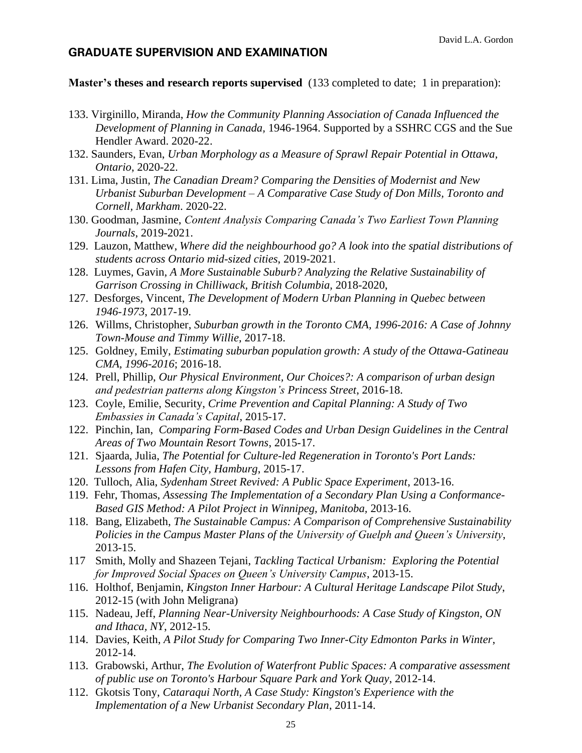#### **GRADUATE SUPERVISION AND EXAMINATION**

#### **Master's theses and research reports supervised** (133 completed to date; 1 in preparation):

- 133. Virginillo, Miranda, *How the Community Planning Association of Canada Influenced the Development of Planning in Canada,* 1946-1964. Supported by a SSHRC CGS and the Sue Hendler Award. 2020-22.
- 132. Saunders, Evan, *Urban Morphology as a Measure of Sprawl Repair Potential in Ottawa, Ontario*, 2020-22.
- 131. Lima, Justin, *The Canadian Dream? Comparing the Densities of Modernist and New Urbanist Suburban Development – A Comparative Case Study of Don Mills, Toronto and Cornell, Markham*. 2020-22.
- 130. Goodman, Jasmine, *Content Analysis Comparing Canada's Two Earliest Town Planning Journals*, 2019-2021.
- 129. Lauzon, Matthew, *Where did the neighbourhood go? A look into the spatial distributions of students across Ontario mid-sized cities*, 2019-2021.
- 128. Luymes, Gavin, *A More Sustainable Suburb? Analyzing the Relative Sustainability of Garrison Crossing in Chilliwack, British Columbia,* 2018-2020,
- 127. Desforges, Vincent, *The Development of Modern Urban Planning in Quebec between 1946-1973*, 2017-19.
- 126. Willms, Christopher, *Suburban growth in the Toronto CMA, 1996-2016: A Case of Johnny Town-Mouse and Timmy Willie,* 2017-18.
- 125. Goldney, Emily, *Estimating suburban population growth: A study of the Ottawa-Gatineau CMA, 1996-2016*; 2016-18.
- 124. Prell, Phillip, *Our Physical Environment, Our Choices?: A comparison of urban design and pedestrian patterns along Kingston's Princess Street*, 2016-18.
- 123. Coyle, Emilie, Security, *Crime Prevention and Capital Planning: A Study of Two Embassies in Canada's Capital*, 2015-17.
- 122. Pinchin, Ian, *Comparing Form-Based Codes and Urban Design Guidelines in the Central Areas of Two Mountain Resort Towns*, 2015-17.
- 121. Sjaarda, Julia, *The Potential for Culture-led Regeneration in Toronto's Port Lands: Lessons from Hafen City, Hamburg*, 2015-17.
- 120. Tulloch, Alia, *Sydenham Street Revived: A Public Space Experiment*, 2013-16.
- 119. Fehr, Thomas, *Assessing The Implementation of a Secondary Plan Using a Conformance-Based GIS Method: A Pilot Project in Winnipeg, Manitoba,* 2013-16.
- 118. Bang, Elizabeth, *The Sustainable Campus: A Comparison of Comprehensive Sustainability Policies in the Campus Master Plans of the University of Guelph and Queen's University*, 2013-15.
- 117 Smith, Molly and Shazeen Tejani, *Tackling Tactical Urbanism: Exploring the Potential for Improved Social Spaces on Queen's University Campus*, 2013-15.
- 116. Holthof, Benjamin, *Kingston Inner Harbour: A Cultural Heritage Landscape Pilot Study*, 2012-15 (with John Meligrana)
- 115. Nadeau, Jeff, *Planning Near-University Neighbourhoods: A Case Study of Kingston, ON and Ithaca, NY*, 2012-15.
- 114. Davies, Keith, *A Pilot Study for Comparing Two Inner-City Edmonton Parks in Winter*, 2012-14.
- 113. Grabowski, Arthur, *The Evolution of Waterfront Public Spaces: A comparative assessment of public use on Toronto's Harbour Square Park and York Quay*, 2012-14.
- 112. Gkotsis Tony, *Cataraqui North, A Case Study: Kingston's Experience with the Implementation of a New Urbanist Secondary Plan*, 2011-14.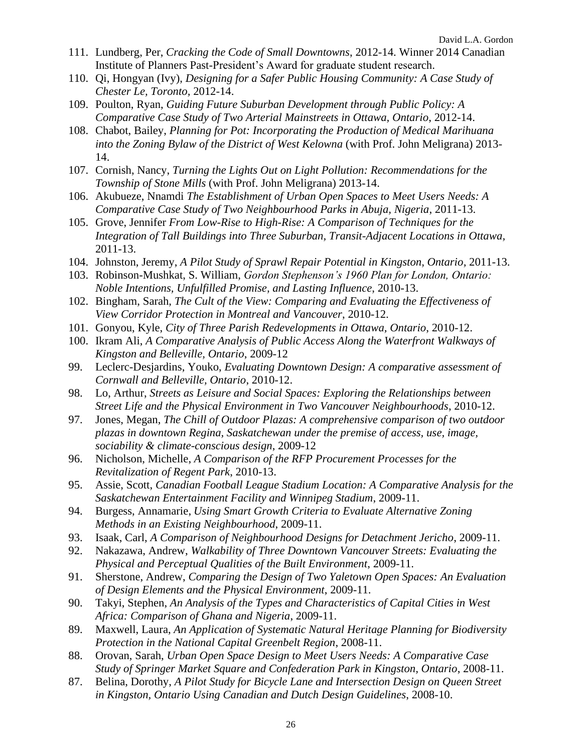- 111. Lundberg, Per, *Cracking the Code of Small Downtowns*, 2012-14. Winner 2014 Canadian Institute of Planners Past-President's Award for graduate student research.
- 110. Qi, Hongyan (Ivy), *Designing for a Safer Public Housing Community: A Case Study of Chester Le, Toronto,* 2012-14.
- 109. Poulton, Ryan, *Guiding Future Suburban Development through Public Policy: A Comparative Case Study of Two Arterial Mainstreets in Ottawa, Ontario*, 2012-14.
- 108. Chabot, Bailey, *Planning for Pot: Incorporating the Production of Medical Marihuana into the Zoning Bylaw of the District of West Kelowna* (with Prof. John Meligrana) 2013- 14.
- 107. Cornish, Nancy, *Turning the Lights Out on Light Pollution: Recommendations for the Township of Stone Mills* (with Prof. John Meligrana) 2013-14.
- 106. Akubueze, Nnamdi *The Establishment of Urban Open Spaces to Meet Users Needs: A Comparative Case Study of Two Neighbourhood Parks in Abuja, Nigeria*, 2011-13.
- 105. Grove, Jennifer *From Low-Rise to High-Rise: A Comparison of Techniques for the Integration of Tall Buildings into Three Suburban, Transit-Adjacent Locations in Ottawa,* 2011-13.
- 104. Johnston, Jeremy, *A Pilot Study of Sprawl Repair Potential in Kingston, Ontario,* 2011-13.
- 103. Robinson-Mushkat, S. William, *Gordon Stephenson's 1960 Plan for London, Ontario: Noble Intentions, Unfulfilled Promise, and Lasting Influence*, 2010-13.
- 102. Bingham, Sarah, *The Cult of the View: Comparing and Evaluating the Effectiveness of View Corridor Protection in Montreal and Vancouver*, 2010-12.
- 101. Gonyou, Kyle, *City of Three Parish Redevelopments in Ottawa, Ontario*, 2010-12.
- 100. Ikram Ali, *A Comparative Analysis of Public Access Along the Waterfront Walkways of Kingston and Belleville, Ontario*, 2009-12
- 99. Leclerc-Desjardins, Youko, *Evaluating Downtown Design: A comparative assessment of Cornwall and Belleville, Ontario*, 2010-12.
- 98. Lo, Arthur, *Streets as Leisure and Social Spaces: Exploring the Relationships between Street Life and the Physical Environment in Two Vancouver Neighbourhoods*, 2010-12.
- 97. Jones, Megan, *The Chill of Outdoor Plazas: A comprehensive comparison of two outdoor plazas in downtown Regina, Saskatchewan under the premise of access, use, image, sociability & climate-conscious design*, 2009-12
- 96. Nicholson, Michelle, *A Comparison of the RFP Procurement Processes for the Revitalization of Regent Park*, 2010-13.
- 95. Assie, Scott, *Canadian Football League Stadium Location: A Comparative Analysis for the Saskatchewan Entertainment Facility and Winnipeg Stadium*, 2009-11.
- 94. Burgess, Annamarie, *Using Smart Growth Criteria to Evaluate Alternative Zoning Methods in an Existing Neighbourhood*, 2009-11.
- 93. Isaak, Carl, *A Comparison of Neighbourhood Designs for Detachment Jericho*, 2009-11.
- 92. Nakazawa, Andrew, *Walkability of Three Downtown Vancouver Streets: Evaluating the Physical and Perceptual Qualities of the Built Environment*, 2009-11.
- 91. Sherstone, Andrew, *Comparing the Design of Two Yaletown Open Spaces: An Evaluation of Design Elements and the Physical Environment*, 2009-11.
- 90. Takyi, Stephen, *An Analysis of the Types and Characteristics of Capital Cities in West Africa: Comparison of Ghana and Nigeria*, 2009-11.
- 89. Maxwell, Laura, *An Application of Systematic Natural Heritage Planning for Biodiversity Protection in the National Capital Greenbelt Region*, 2008-11.
- 88. Orovan, Sarah, *Urban Open Space Design to Meet Users Needs: A Comparative Case Study of Springer Market Square and Confederation Park in Kingston, Ontario*, 2008-11.
- 87. Belina, Dorothy, *A Pilot Study for Bicycle Lane and Intersection Design on Queen Street in Kingston, Ontario Using Canadian and Dutch Design Guidelines*, 2008-10.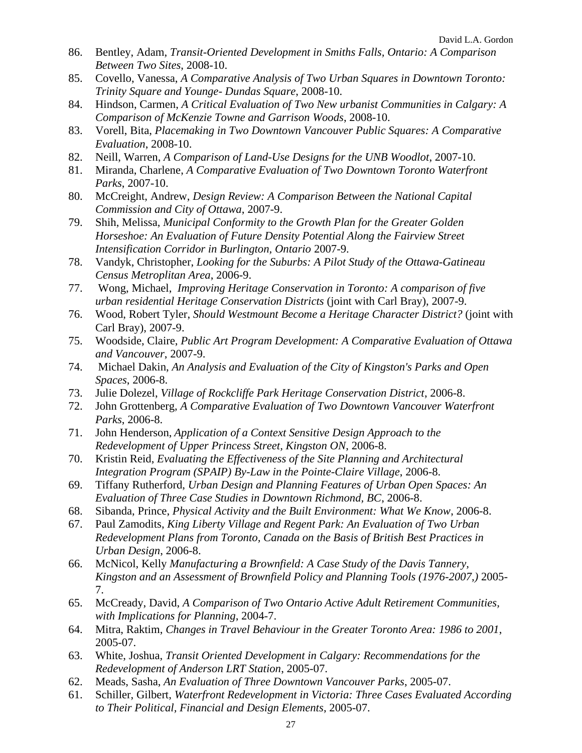- 86. Bentley, Adam, *Transit-Oriented Development in Smiths Falls, Ontario: A Comparison Between Two Sites*, 2008-10.
- 85. Covello, Vanessa, *A Comparative Analysis of Two Urban Squares in Downtown Toronto: Trinity Square and Younge- Dundas Square*, 2008-10.
- 84. Hindson, Carmen, *A Critical Evaluation of Two New urbanist Communities in Calgary: A Comparison of McKenzie Towne and Garrison Woods*, 2008-10.
- 83. Vorell, Bita, *Placemaking in Two Downtown Vancouver Public Squares: A Comparative Evaluation*, 2008-10.
- 82. Neill, Warren, *A Comparison of Land-Use Designs for the UNB Woodlot*, 2007-10.
- 81. Miranda, Charlene, *A Comparative Evaluation of Two Downtown Toronto Waterfront Parks*, 2007-10.
- 80. McCreight, Andrew, *Design Review: A Comparison Between the National Capital Commission and City of Ottawa*, 2007-9.
- 79. Shih, Melissa, *Municipal Conformity to the Growth Plan for the Greater Golden Horseshoe: An Evaluation of Future Density Potential Along the Fairview Street Intensification Corridor in Burlington, Ontario* 2007-9.
- 78. Vandyk, Christopher, *Looking for the Suburbs: A Pilot Study of the Ottawa-Gatineau Census Metroplitan Area*, 2006-9.
- 77. Wong, Michael, *Improving Heritage Conservation in Toronto: A comparison of five urban residential Heritage Conservation Districts* (joint with Carl Bray), 2007-9.
- 76. Wood, Robert Tyler, *Should Westmount Become a Heritage Character District?* (joint with Carl Bray), 2007-9.
- 75. Woodside, Claire, *Public Art Program Development: A Comparative Evaluation of Ottawa and Vancouver*, 2007-9.
- 74. Michael Dakin, *An Analysis and Evaluation of the City of Kingston's Parks and Open Spaces*, 2006-8.
- 73. Julie Dolezel, *Village of Rockcliffe Park Heritage Conservation District*, 2006-8.
- 72. John Grottenberg, *A Comparative Evaluation of Two Downtown Vancouver Waterfront Parks*, 2006-8.
- 71. John Henderson, *Application of a Context Sensitive Design Approach to the Redevelopment of Upper Princess Street, Kingston ON*, 2006-8.
- 70. Kristin Reid, *Evaluating the Effectiveness of the Site Planning and Architectural Integration Program (SPAIP) By-Law in the Pointe-Claire Village*, 2006-8.
- 69. Tiffany Rutherford, *Urban Design and Planning Features of Urban Open Spaces: An Evaluation of Three Case Studies in Downtown Richmond, BC*, 2006-8.
- 68. Sibanda, Prince, *Physical Activity and the Built Environment: What We Know*, 2006-8.
- 67. Paul Zamodits, *King Liberty Village and Regent Park: An Evaluation of Two Urban Redevelopment Plans from Toronto, Canada on the Basis of British Best Practices in Urban Design*, 2006-8.
- 66. McNicol, Kelly *Manufacturing a Brownfield: A Case Study of the Davis Tannery, Kingston and an Assessment of Brownfield Policy and Planning Tools (1976-2007,)* 2005- 7.
- 65. McCready, David, *A Comparison of Two Ontario Active Adult Retirement Communities, with Implications for Planning*, 2004-7.
- 64. Mitra, Raktim, *Changes in Travel Behaviour in the Greater Toronto Area: 1986 to 2001*, 2005-07.
- 63. White, Joshua, *Transit Oriented Development in Calgary: Recommendations for the Redevelopment of Anderson LRT Station*, 2005-07.
- 62. Meads, Sasha, *An Evaluation of Three Downtown Vancouver Parks*, 2005-07.
- 61. Schiller, Gilbert, *Waterfront Redevelopment in Victoria: Three Cases Evaluated According to Their Political, Financial and Design Elements*, 2005-07.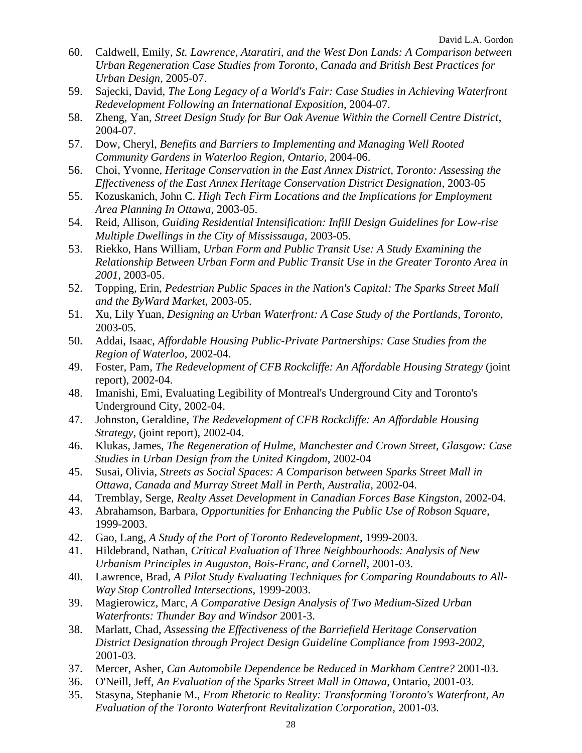- 60. Caldwell, Emily, *St. Lawrence, Ataratiri, and the West Don Lands: A Comparison between Urban Regeneration Case Studies from Toronto, Canada and British Best Practices for Urban Design*, 2005-07.
- 59. Sajecki, David, *The Long Legacy of a World's Fair: Case Studies in Achieving Waterfront Redevelopment Following an International Exposition*, 2004-07.
- 58. Zheng, Yan, *Street Design Study for Bur Oak Avenue Within the Cornell Centre District*, 2004-07.
- 57. Dow, Cheryl, *Benefits and Barriers to Implementing and Managing Well Rooted Community Gardens in Waterloo Region, Ontario*, 2004-06.
- 56. Choi, Yvonne, *Heritage Conservation in the East Annex District, Toronto: Assessing the Effectiveness of the East Annex Heritage Conservation District Designation*, 2003-05
- 55. Kozuskanich, John C. *High Tech Firm Locations and the Implications for Employment Area Planning In Ottawa*, 2003-05.
- 54. Reid, Allison, *Guiding Residential Intensification: Infill Design Guidelines for Low-rise Multiple Dwellings in the City of Mississauga*, 2003-05.
- 53. Riekko, Hans William, *Urban Form and Public Transit Use: A Study Examining the Relationship Between Urban Form and Public Transit Use in the Greater Toronto Area in 2001*, 2003-05.
- 52. Topping, Erin, *Pedestrian Public Spaces in the Nation's Capital: The Sparks Street Mall and the ByWard Market*, 2003-05.
- 51. Xu, Lily Yuan, *Designing an Urban Waterfront: A Case Study of the Portlands, Toronto*, 2003-05.
- 50. Addai, Isaac, *Affordable Housing Public-Private Partnerships: Case Studies from the Region of Waterloo*, 2002-04.
- 49. Foster, Pam, *The Redevelopment of CFB Rockcliffe: An Affordable Housing Strategy* (joint report), 2002-04.
- 48. Imanishi, Emi, Evaluating Legibility of Montreal's Underground City and Toronto's Underground City, 2002-04.
- 47. Johnston, Geraldine, *The Redevelopment of CFB Rockcliffe: An Affordable Housing Strategy*, (joint report), 2002-04.
- 46. Klukas, James, *The Regeneration of Hulme, Manchester and Crown Street, Glasgow: Case Studies in Urban Design from the United Kingdom*, 2002-04
- 45. Susai, Olivia, *Streets as Social Spaces: A Comparison between Sparks Street Mall in Ottawa, Canada and Murray Street Mall in Perth, Australia*, 2002-04.
- 44. Tremblay, Serge, *Realty Asset Development in Canadian Forces Base Kingston*, 2002-04.
- 43. Abrahamson, Barbara, *Opportunities for Enhancing the Public Use of Robson Square*, 1999-2003.
- 42. Gao, Lang, *A Study of the Port of Toronto Redevelopment*, 1999-2003.
- 41. Hildebrand, Nathan, *Critical Evaluation of Three Neighbourhoods: Analysis of New Urbanism Principles in Auguston, Bois-Franc, and Cornell*, 2001-03.
- 40. Lawrence, Brad, *A Pilot Study Evaluating Techniques for Comparing Roundabouts to All-Way Stop Controlled Intersections*, 1999-2003.
- 39. Magierowicz, Marc, *A Comparative Design Analysis of Two Medium-Sized Urban Waterfronts: Thunder Bay and Windsor* 2001-3.
- 38. Marlatt, Chad, *Assessing the Effectiveness of the Barriefield Heritage Conservation District Designation through Project Design Guideline Compliance from 1993-2002*, 2001-03.
- 37. Mercer, Asher, *Can Automobile Dependence be Reduced in Markham Centre?* 2001-03.
- 36. O'Neill, Jeff, *An Evaluation of the Sparks Street Mall in Ottawa*, Ontario, 2001-03.
- 35. Stasyna, Stephanie M., *From Rhetoric to Reality: Transforming Toronto's Waterfront, An Evaluation of the Toronto Waterfront Revitalization Corporation*, 2001-03.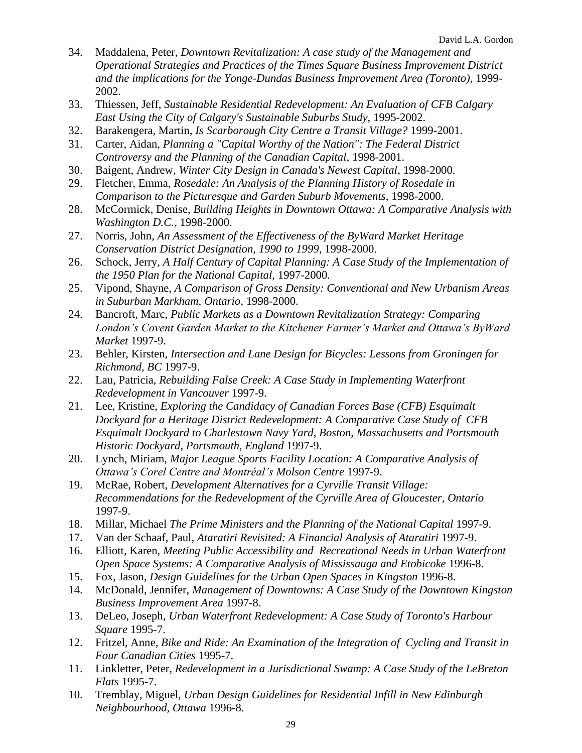- 34. Maddalena, Peter, *Downtown Revitalization: A case study of the Management and Operational Strategies and Practices of the Times Square Business Improvement District and the implications for the Yonge-Dundas Business Improvement Area (Toronto),* 1999- 2002.
- 33. Thiessen, Jeff, *Sustainable Residential Redevelopment: An Evaluation of CFB Calgary East Using the City of Calgary's Sustainable Suburbs Study,* 1995-2002.
- 32. Barakengera, Martin, *Is Scarborough City Centre a Transit Village?* 1999-2001.
- 31. Carter, Aidan, *Planning a "Capital Worthy of the Nation": The Federal District Controversy and the Planning of the Canadian Capital,* 1998-2001.
- 30. Baigent, Andrew, *Winter City Design in Canada's Newest Capital*, 1998-2000.
- 29. Fletcher, Emma, *Rosedale: An Analysis of the Planning History of Rosedale in Comparison to the Picturesque and Garden Suburb Movements*, 1998-2000.
- 28. McCormick, Denise, *Building Heights in Downtown Ottawa: A Comparative Analysis with Washington D.C.*, 1998-2000.
- 27. Norris, John, *An Assessment of the Effectiveness of the ByWard Market Heritage Conservation District Designation, 1990 to 1999*, 1998-2000.
- 26. Schock, Jerry, *A Half Century of Capital Planning: A Case Study of the Implementation of the 1950 Plan for the National Capital,* 1997-2000.
- 25. Vipond, Shayne, *A Comparison of Gross Density: Conventional and New Urbanism Areas in Suburban Markham, Ontario*, 1998-2000.
- 24. Bancroft, Marc, *Public Markets as a Downtown Revitalization Strategy: Comparing London's Covent Garden Market to the Kitchener Farmer's Market and Ottawa's ByWard Market* 1997-9.
- 23. Behler, Kirsten, *Intersection and Lane Design for Bicycles: Lessons from Groningen for Richmond, BC* 1997-9.
- 22. Lau, Patricia, *Rebuilding False Creek: A Case Study in Implementing Waterfront Redevelopment in Vancouver* 1997-9.
- 21. Lee, Kristine, *Exploring the Candidacy of Canadian Forces Base (CFB) Esquimalt Dockyard for a Heritage District Redevelopment: A Comparative Case Study of CFB Esquimalt Dockyard to Charlestown Navy Yard, Boston, Massachusetts and Portsmouth Historic Dockyard, Portsmouth, England* 1997-9.
- 20. Lynch, Miriam, *Major League Sports Facility Location: A Comparative Analysis of Ottawa's Corel Centre and Montréal's Molson Centre* 1997-9.
- 19. McRae, Robert, *Development Alternatives for a Cyrville Transit Village: Recommendations for the Redevelopment of the Cyrville Area of Gloucester, Ontario*  1997-9.
- 18. Millar, Michael *The Prime Ministers and the Planning of the National Capital* 1997-9.
- 17. Van der Schaaf, Paul, *Ataratiri Revisited: A Financial Analysis of Ataratiri* 1997-9.
- 16. Elliott, Karen, *Meeting Public Accessibility and Recreational Needs in Urban Waterfront Open Space Systems: A Comparative Analysis of Mississauga and Etobicoke* 1996-8.
- 15. Fox, Jason, *Design Guidelines for the Urban Open Spaces in Kingston* 1996-8.
- 14. McDonald, Jennifer, *Management of Downtowns: A Case Study of the Downtown Kingston Business Improvement Area* 1997-8.
- 13. DeLeo, Joseph, *Urban Waterfront Redevelopment: A Case Study of Toronto's Harbour Square* 1995-7.
- 12. Fritzel, Anne, *Bike and Ride: An Examination of the Integration of Cycling and Transit in Four Canadian Cities* 1995-7.
- 11. Linkletter, Peter, *Redevelopment in a Jurisdictional Swamp: A Case Study of the LeBreton Flats* 1995-7.
- 10. Tremblay, Miguel, *Urban Design Guidelines for Residential Infill in New Edinburgh Neighbourhood, Ottawa* 1996-8.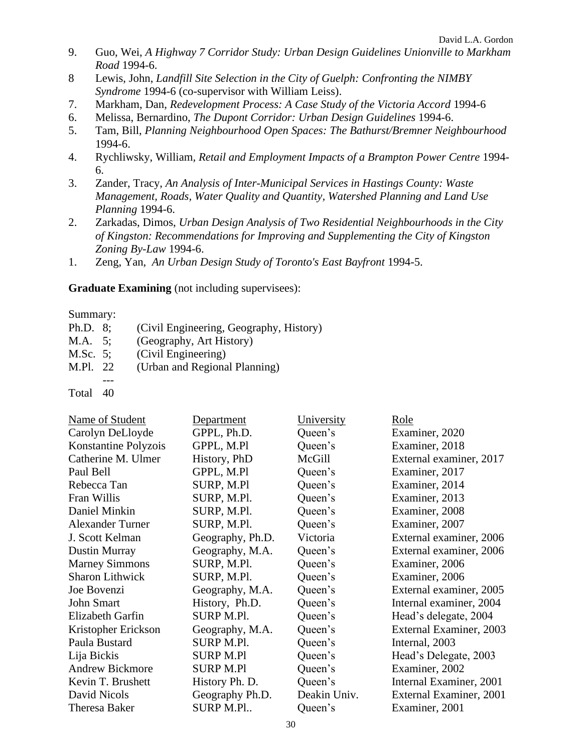- 9. Guo, Wei, *A Highway 7 Corridor Study: Urban Design Guidelines Unionville to Markham Road* 1994-6.
- 8 Lewis, John, *Landfill Site Selection in the City of Guelph: Confronting the NIMBY Syndrome* 1994-6 (co-supervisor with William Leiss).
- 7. Markham, Dan, *Redevelopment Process: A Case Study of the Victoria Accord* 1994-6
- 6. Melissa, Bernardino, *The Dupont Corridor: Urban Design Guidelines* 1994-6.
- 5. Tam, Bill, *Planning Neighbourhood Open Spaces: The Bathurst/Bremner Neighbourhood* 1994-6.
- 4. Rychliwsky, William*, Retail and Employment Impacts of a Brampton Power Centre* 1994- 6.
- 3. Zander, Tracy, *An Analysis of Inter-Municipal Services in Hastings County: Waste Management, Roads, Water Quality and Quantity, Watershed Planning and Land Use Planning* 1994-6.
- 2. Zarkadas, Dimos, *Urban Design Analysis of Two Residential Neighbourhoods in the City of Kingston: Recommendations for Improving and Supplementing the City of Kingston Zoning By-Law* 1994-6.
- 1. Zeng, Yan, *An Urban Design Study of Toronto's East Bayfront* 1994-5.

#### **Graduate Examining** (not including supervisees):

#### Summary:

- Ph.D. 8; (Civil Engineering, Geography, History) M.A. 5; (Geography, Art History) M.Sc. 5; (Civil Engineering) M.Pl. 22 (Urban and Regional Planning) ---
- Total 40

| Department       | University   | Role                    |
|------------------|--------------|-------------------------|
| GPPL, Ph.D.      | Queen's      | Examiner, 2020          |
| GPPL, M.Pl       | Queen's      | Examiner, 2018          |
| History, PhD     | McGill       | External examiner, 2017 |
| GPPL, M.Pl       | Queen's      | Examiner, 2017          |
| SURP, M.Pl       | Queen's      | Examiner, 2014          |
| SURP, M.Pl.      | Queen's      | Examiner, 2013          |
| SURP, M.Pl.      | Queen's      | Examiner, 2008          |
| SURP, M.Pl.      | Queen's      | Examiner, 2007          |
| Geography, Ph.D. | Victoria     | External examiner, 2006 |
| Geography, M.A.  | Queen's      | External examiner, 2006 |
| SURP, M.Pl.      | Queen's      | Examiner, 2006          |
| SURP, M.Pl.      | Queen's      | Examiner, 2006          |
| Geography, M.A.  | Queen's      | External examiner, 2005 |
| History, Ph.D.   | Queen's      | Internal examiner, 2004 |
| SURP M.Pl.       | Queen's      | Head's delegate, 2004   |
| Geography, M.A.  | Queen's      | External Examiner, 2003 |
| SURP M.Pl.       | Queen's      | Internal, 2003          |
| <b>SURP M.Pl</b> | Queen's      | Head's Delegate, 2003   |
| <b>SURP M.Pl</b> | Queen's      | Examiner, 2002          |
| History Ph. D.   | Queen's      | Internal Examiner, 2001 |
| Geography Ph.D.  | Deakin Univ. | External Examiner, 2001 |
| <b>SURP M.Pl</b> | Queen's      | Examiner, 2001          |
|                  |              |                         |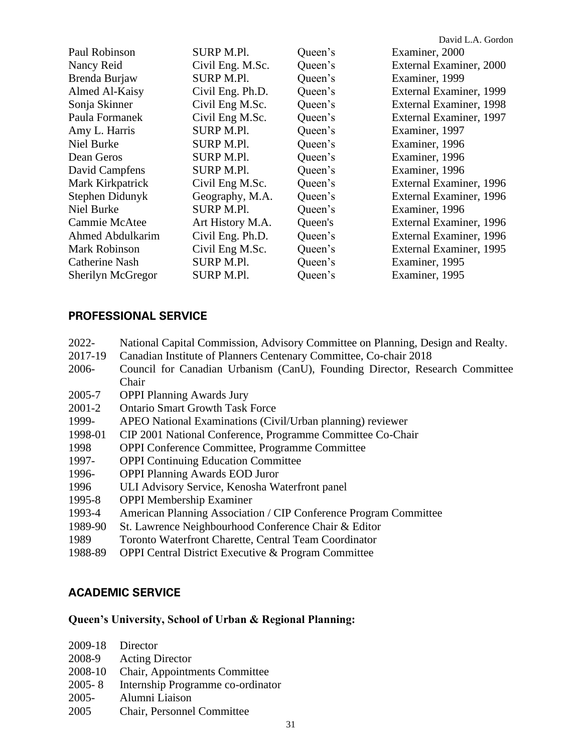|                   |                  |         | David L.A. Gordon       |
|-------------------|------------------|---------|-------------------------|
| Paul Robinson     | SURP M.Pl.       | Queen's | Examiner, 2000          |
| Nancy Reid        | Civil Eng. M.Sc. | Queen's | External Examiner, 2000 |
| Brenda Burjaw     | SURP M.Pl.       | Queen's | Examiner, 1999          |
| Almed Al-Kaisy    | Civil Eng. Ph.D. | Queen's | External Examiner, 1999 |
| Sonja Skinner     | Civil Eng M.Sc.  | Queen's | External Examiner, 1998 |
| Paula Formanek    | Civil Eng M.Sc.  | Queen's | External Examiner, 1997 |
| Amy L. Harris     | SURP M.Pl.       | Queen's | Examiner, 1997          |
| Niel Burke        | SURP M.Pl.       | Queen's | Examiner, 1996          |
| Dean Geros        | SURP M.Pl.       | Queen's | Examiner, 1996          |
| David Campfens    | SURP M.Pl.       | Queen's | Examiner, 1996          |
| Mark Kirkpatrick  | Civil Eng M.Sc.  | Queen's | External Examiner, 1996 |
| Stephen Didunyk   | Geography, M.A.  | Queen's | External Examiner, 1996 |
| Niel Burke        | SURP M.Pl.       | Queen's | Examiner, 1996          |
| Cammie McAtee     | Art History M.A. | Queen's | External Examiner, 1996 |
| Ahmed Abdulkarim  | Civil Eng. Ph.D. | Queen's | External Examiner, 1996 |
| Mark Robinson     | Civil Eng M.Sc.  | Queen's | External Examiner, 1995 |
| Catherine Nash    | SURP M.Pl.       | Queen's | Examiner, 1995          |
| Sherilyn McGregor | SURP M.Pl.       | Queen's | Examiner, 1995          |

## **PROFESSIONAL SERVICE**

| 2022-   | National Capital Commission, Advisory Committee on Planning, Design and Realty. |
|---------|---------------------------------------------------------------------------------|
| 2017-19 | Canadian Institute of Planners Centenary Committee, Co-chair 2018               |
| 2006-   | Council for Canadian Urbanism (CanU), Founding Director, Research Committee     |
|         | Chair                                                                           |
| 2005-7  | <b>OPPI Planning Awards Jury</b>                                                |
| 2001-2  | <b>Ontario Smart Growth Task Force</b>                                          |
| 1999-   | APEO National Examinations (Civil/Urban planning) reviewer                      |
| 1998-01 | CIP 2001 National Conference, Programme Committee Co-Chair                      |
| 1998    | <b>OPPI</b> Conference Committee, Programme Committee                           |
| 1997-   | <b>OPPI</b> Continuing Education Committee                                      |
| 1996-   | <b>OPPI Planning Awards EOD Juror</b>                                           |
| 1996    | ULI Advisory Service, Kenosha Waterfront panel                                  |
| 1995-8  | <b>OPPI Membership Examiner</b>                                                 |
| 1993-4  | American Planning Association / CIP Conference Program Committee                |
| 1989-90 | St. Lawrence Neighbourhood Conference Chair & Editor                            |
| 1989    | Toronto Waterfront Charette, Central Team Coordinator                           |
| 1988-89 | <b>OPPI Central District Executive &amp; Program Committee</b>                  |

## **ACADEMIC SERVICE**

## **Queen's University, School of Urban & Regional Planning:**

| 2009-18 Director |                                   |
|------------------|-----------------------------------|
| 2008-9           | <b>Acting Director</b>            |
| 2008-10          | Chair, Appointments Committee     |
| $2005 - 8$       | Internship Programme co-ordinator |
| $2005 -$         | Alumni Liaison                    |
| 2005             | Chair, Personnel Committee        |
|                  |                                   |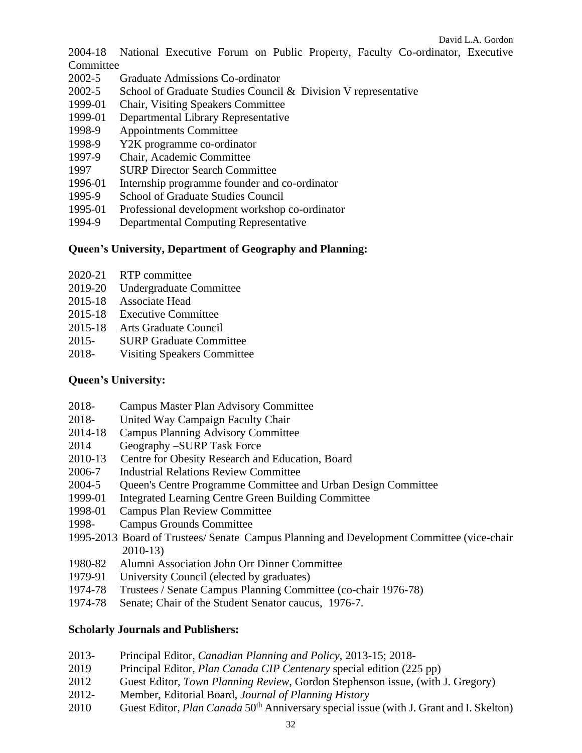2004-18 National Executive Forum on Public Property, Faculty Co-ordinator, Executive **Committee** 

- 2002-5 Graduate Admissions Co-ordinator
- 2002-5 School of Graduate Studies Council & Division V representative
- 1999-01 Chair, Visiting Speakers Committee
- 1999-01 Departmental Library Representative
- 1998-9 Appointments Committee
- 1998-9 Y2K programme co-ordinator
- 1997-9 Chair, Academic Committee
- 1997 SURP Director Search Committee
- 1996-01 Internship programme founder and co-ordinator
- 1995-9 School of Graduate Studies Council
- 1995-01 Professional development workshop co-ordinator
- 1994-9 Departmental Computing Representative

#### **Queen's University, Department of Geography and Planning:**

- 2020-21 RTP committee
- 2019-20 Undergraduate Committee
- 2015-18 Associate Head
- 2015-18 Executive Committee
- 2015-18 Arts Graduate Council
- 2015- SURP Graduate Committee
- 2018- Visiting Speakers Committee

#### **Queen's University:**

- 2018- Campus Master Plan Advisory Committee
- 2018- United Way Campaign Faculty Chair
- 2014-18 Campus Planning Advisory Committee
- 2014 Geography –SURP Task Force
- 2010-13 Centre for Obesity Research and Education, Board
- 2006-7 Industrial Relations Review Committee
- 2004-5 Queen's Centre Programme Committee and Urban Design Committee
- 1999-01 Integrated Learning Centre Green Building Committee
- 1998-01 Campus Plan Review Committee
- 1998- Campus Grounds Committee
- 1995-2013 Board of Trustees/ Senate Campus Planning and Development Committee (vice-chair 2010-13)
- 1980-82 Alumni Association John Orr Dinner Committee
- 1979-91 University Council (elected by graduates)
- 1974-78 Trustees / Senate Campus Planning Committee (co-chair 1976-78)
- 1974-78 Senate; Chair of the Student Senator caucus, 1976-7.

#### **Scholarly Journals and Publishers:**

- 2013- Principal Editor, *Canadian Planning and Policy*, 2013-15; 2018-
- 2019 Principal Editor, *Plan Canada CIP Centenary* special edition (225 pp)
- 2012 Guest Editor, *Town Planning Review*, Gordon Stephenson issue, (with J. Gregory)
- 2012- Member, Editorial Board, *Journal of Planning History*
- 2010 Guest Editor, *Plan Canada* 50<sup>th</sup> Anniversary special issue (with J. Grant and I. Skelton)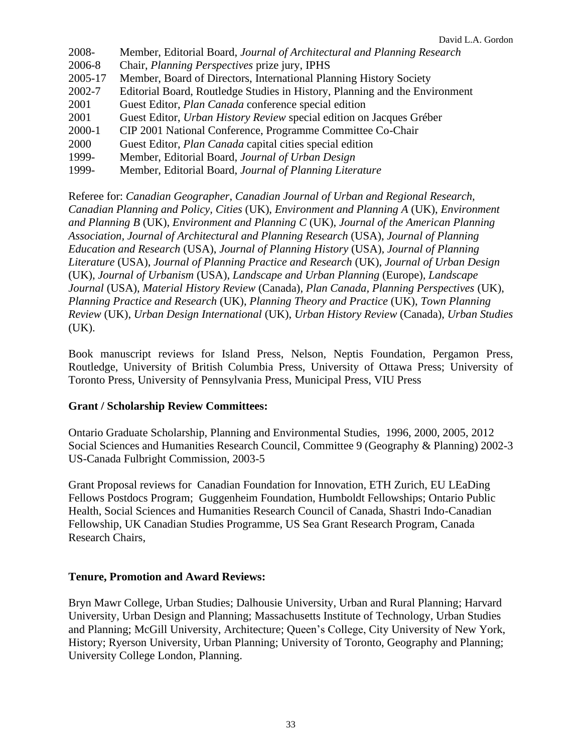| 2008-   | Member, Editorial Board, Journal of Architectural and Planning Research     |
|---------|-----------------------------------------------------------------------------|
| 2006-8  | Chair, Planning Perspectives prize jury, IPHS                               |
| 2005-17 | Member, Board of Directors, International Planning History Society          |
| 2002-7  | Editorial Board, Routledge Studies in History, Planning and the Environment |
| 2001    | Guest Editor, <i>Plan Canada</i> conference special edition                 |
| 2001    | Guest Editor, Urban History Review special edition on Jacques Gréber        |
| 2000-1  | CIP 2001 National Conference, Programme Committee Co-Chair                  |
| 2000    | Guest Editor, <i>Plan Canada</i> capital cities special edition             |
| 1999-   | Member, Editorial Board, Journal of Urban Design                            |
| 1999-   | Member, Editorial Board, Journal of Planning Literature                     |

Referee for: *Canadian Geographer*, *Canadian Journal of Urban and Regional Research, Canadian Planning and Policy, Cities* (UK), *Environment and Planning A* (UK), *Environment and Planning B* (UK), *Environment and Planning C* (UK), *Journal of the American Planning Association, Journal of Architectural and Planning Research* (USA), *Journal of Planning Education and Research* (USA), *Journal of Planning History* (USA)*, Journal of Planning Literature* (USA), *Journal of Planning Practice and Research* (UK), *Journal of Urban Design* (UK), *Journal of Urbanism* (USA), *Landscape and Urban Planning* (Europe)*, Landscape Journal* (USA), *Material History Review* (Canada), *Plan Canada, Planning Perspectives* (UK), *Planning Practice and Research* (UK), *Planning Theory and Practice* (UK), *Town Planning Review* (UK), *Urban Design International* (UK), *Urban History Review* (Canada), *Urban Studies*  (UK).

Book manuscript reviews for Island Press, Nelson, Neptis Foundation, Pergamon Press, Routledge, University of British Columbia Press, University of Ottawa Press; University of Toronto Press, University of Pennsylvania Press, Municipal Press, VIU Press

#### **Grant / Scholarship Review Committees:**

Ontario Graduate Scholarship, Planning and Environmental Studies, 1996, 2000, 2005, 2012 Social Sciences and Humanities Research Council, Committee 9 (Geography & Planning) 2002-3 US-Canada Fulbright Commission, 2003-5

Grant Proposal reviews for Canadian Foundation for Innovation, ETH Zurich, EU LEaDing Fellows Postdocs Program; Guggenheim Foundation, Humboldt Fellowships; Ontario Public Health, Social Sciences and Humanities Research Council of Canada, Shastri Indo-Canadian Fellowship, UK Canadian Studies Programme, US Sea Grant Research Program, Canada Research Chairs,

#### **Tenure, Promotion and Award Reviews:**

Bryn Mawr College, Urban Studies; Dalhousie University, Urban and Rural Planning; Harvard University, Urban Design and Planning; Massachusetts Institute of Technology, Urban Studies and Planning; McGill University, Architecture; Queen's College, City University of New York, History; Ryerson University, Urban Planning; University of Toronto, Geography and Planning; University College London, Planning.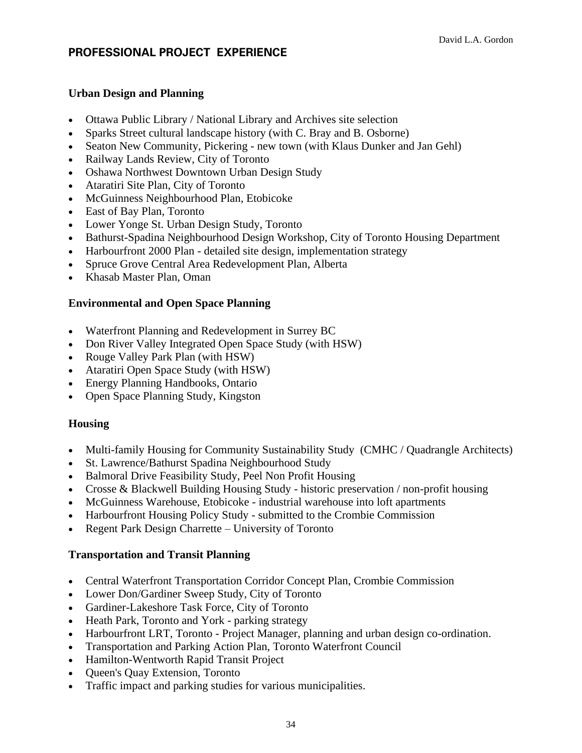### **PROFESSIONAL PROJECT EXPERIENCE**

#### **Urban Design and Planning**

- Ottawa Public Library / National Library and Archives site selection
- Sparks Street cultural landscape history (with C. Bray and B. Osborne)
- Seaton New Community, Pickering new town (with Klaus Dunker and Jan Gehl)
- Railway Lands Review, City of Toronto
- Oshawa Northwest Downtown Urban Design Study
- Ataratiri Site Plan, City of Toronto
- McGuinness Neighbourhood Plan, Etobicoke
- East of Bay Plan, Toronto
- Lower Yonge St. Urban Design Study, Toronto
- Bathurst-Spadina Neighbourhood Design Workshop, City of Toronto Housing Department
- Harbourfront 2000 Plan detailed site design, implementation strategy
- Spruce Grove Central Area Redevelopment Plan, Alberta
- Khasab Master Plan, Oman

#### **Environmental and Open Space Planning**

- Waterfront Planning and Redevelopment in Surrey BC
- Don River Valley Integrated Open Space Study (with HSW)
- Rouge Valley Park Plan (with HSW)
- Ataratiri Open Space Study (with HSW)
- Energy Planning Handbooks, Ontario
- Open Space Planning Study, Kingston

#### **Housing**

- Multi-family Housing for Community Sustainability Study (CMHC / Quadrangle Architects)
- St. Lawrence/Bathurst Spadina Neighbourhood Study
- Balmoral Drive Feasibility Study, Peel Non Profit Housing
- Crosse & Blackwell Building Housing Study historic preservation / non-profit housing
- McGuinness Warehouse, Etobicoke industrial warehouse into loft apartments
- Harbourfront Housing Policy Study submitted to the Crombie Commission
- Regent Park Design Charrette University of Toronto

#### **Transportation and Transit Planning**

- Central Waterfront Transportation Corridor Concept Plan, Crombie Commission
- Lower Don/Gardiner Sweep Study, City of Toronto
- Gardiner-Lakeshore Task Force, City of Toronto
- Heath Park, Toronto and York parking strategy
- Harbourfront LRT, Toronto Project Manager, planning and urban design co-ordination.
- Transportation and Parking Action Plan, Toronto Waterfront Council
- Hamilton-Wentworth Rapid Transit Project
- Queen's Quay Extension, Toronto
- Traffic impact and parking studies for various municipalities.